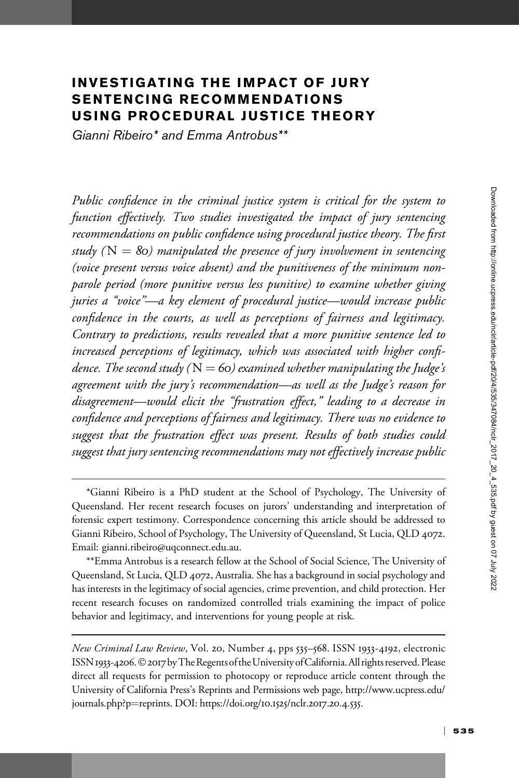# INVESTIGATING THE IMPACT OF JURY SENTENCING RECOMMENDATIONS USING PROCEDURAL JUSTICE THEORY

Gianni Ribeiro\* and Emma Antrobus\*\*

Public confidence in the criminal justice system is critical for the system to function effectively. Two studies investigated the impact of jury sentencing recommendations on public confidence using procedural justice theory. The first study ( $N = 80$ ) manipulated the presence of jury involvement in sentencing (voice present versus voice absent) and the punitiveness of the minimum nonparole period (more punitive versus less punitive) to examine whether giving juries a ''voice''—a key element of procedural justice—would increase public confidence in the courts, as well as perceptions of fairness and legitimacy. Contrary to predictions, results revealed that a more punitive sentence led to increased perceptions of legitimacy, which was associated with higher confidence. The second study ( $N = 60$ ) examined whether manipulating the Judge's agreement with the jury's recommendation—as well as the Judge's reason for disagreement—would elicit the ''frustration effect,'' leading to a decrease in confidence and perceptions of fairness and legitimacy. There was no evidence to suggest that the frustration effect was present. Results of both studies could suggest that jury sentencing recommendations may not effectively increase public

\*Gianni Ribeiro is a PhD student at the School of Psychology, The University of Queensland. Her recent research focuses on jurors' understanding and interpretation of forensic expert testimony. Correspondence concerning this article should be addressed to Gianni Ribeiro, School of Psychology, The University of Queensland, St Lucia, QLD 4072. Email: gianni.ribeiro@uqconnect.edu.au.

\*\*Emma Antrobus is a research fellow at the School of Social Science, The University of Queensland, St Lucia, QLD 4072, Australia. She has a background in social psychology and has interests in the legitimacy of social agencies, crime prevention, and child protection. Her recent research focuses on randomized controlled trials examining the impact of police behavior and legitimacy, and interventions for young people at risk.

New Criminal Law Review, Vol. 20, Number 4, pps 535–568. ISSN 1933-4192, electronic ISSN 1933-4206. © 2017 by The Regents of the University of California. All rights reserved. Please direct all requests for permission to photocopy or reproduce article content through the University of California Press's Reprints and Permissions web page, [http://www.ucpress.edu/](http://www.ucpress.edu/journals.php?p=reprints) [journals.php?p](http://www.ucpress.edu/journals.php?p=reprints)=[reprints](http://www.ucpress.edu/journals.php?p=reprints). [DOI: https://doi.org/](https://doi.org/10.1525/nclr.2017.20.4.535)10.1525/nclr.2017.20.4.535.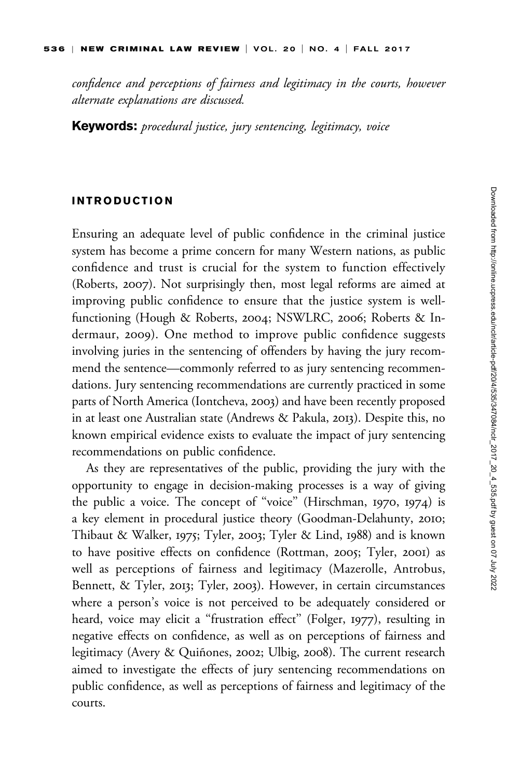confidence and perceptions of fairness and legitimacy in the courts, however alternate explanations are discussed.

Keywords: procedural justice, jury sentencing, legitimacy, voice

## INTRODUCTION

Ensuring an adequate level of public confidence in the criminal justice system has become a prime concern for many Western nations, as public confidence and trust is crucial for the system to function effectively (Roberts, 2007). Not surprisingly then, most legal reforms are aimed at improving public confidence to ensure that the justice system is wellfunctioning (Hough & Roberts, 2004; NSWLRC, 2006; Roberts & Indermaur, 2009). One method to improve public confidence suggests involving juries in the sentencing of offenders by having the jury recommend the sentence—commonly referred to as jury sentencing recommendations. Jury sentencing recommendations are currently practiced in some parts of North America (Iontcheva, 2003) and have been recently proposed in at least one Australian state (Andrews & Pakula, 2013). Despite this, no known empirical evidence exists to evaluate the impact of jury sentencing recommendations on public confidence.

As they are representatives of the public, providing the jury with the opportunity to engage in decision-making processes is a way of giving the public a voice. The concept of ''voice'' (Hirschman, 1970, 1974) is a key element in procedural justice theory (Goodman-Delahunty, 2010; Thibaut & Walker, 1975; Tyler, 2003; Tyler & Lind, 1988) and is known to have positive effects on confidence (Rottman, 2005; Tyler, 2001) as well as perceptions of fairness and legitimacy (Mazerolle, Antrobus, Bennett, & Tyler, 2013; Tyler, 2003). However, in certain circumstances where a person's voice is not perceived to be adequately considered or heard, voice may elicit a "frustration effect" (Folger, 1977), resulting in negative effects on confidence, as well as on perceptions of fairness and legitimacy (Avery & Quiñones, 2002; Ulbig, 2008). The current research aimed to investigate the effects of jury sentencing recommendations on public confidence, as well as perceptions of fairness and legitimacy of the courts.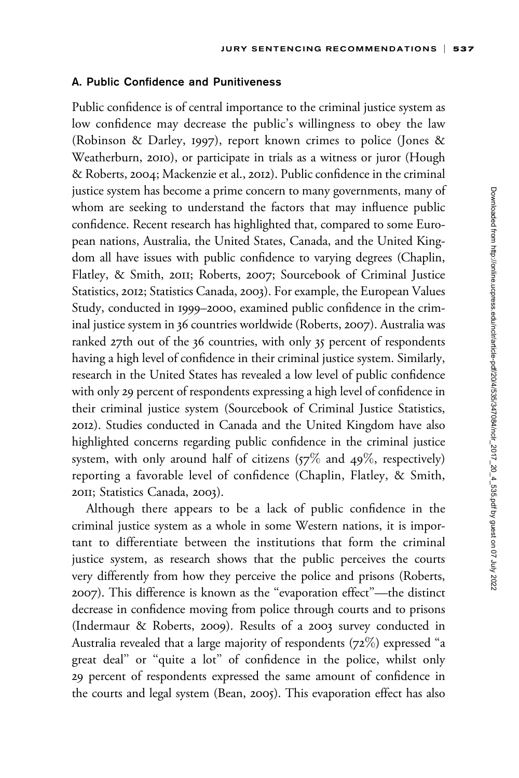## A. Public Confidence and Punitiveness

Public confidence is of central importance to the criminal justice system as low confidence may decrease the public's willingness to obey the law (Robinson & Darley, 1997), report known crimes to police (Jones & Weatherburn, 2010), or participate in trials as a witness or juror (Hough & Roberts, 2004; Mackenzie et al., 2012). Public confidence in the criminal justice system has become a prime concern to many governments, many of whom are seeking to understand the factors that may influence public confidence. Recent research has highlighted that, compared to some European nations, Australia, the United States, Canada, and the United Kingdom all have issues with public confidence to varying degrees (Chaplin, Flatley, & Smith, 2011; Roberts, 2007; Sourcebook of Criminal Justice Statistics, 2012; Statistics Canada, 2003). For example, the European Values Study, conducted in 1999–2000, examined public confidence in the criminal justice system in 36 countries worldwide (Roberts, 2007). Australia was ranked 27th out of the 36 countries, with only 35 percent of respondents having a high level of confidence in their criminal justice system. Similarly, research in the United States has revealed a low level of public confidence with only 29 percent of respondents expressing a high level of confidence in their criminal justice system (Sourcebook of Criminal Justice Statistics, 2012). Studies conducted in Canada and the United Kingdom have also highlighted concerns regarding public confidence in the criminal justice system, with only around half of citizens ( $57\%$  and  $49\%$ , respectively) reporting a favorable level of confidence (Chaplin, Flatley, & Smith, 2011; Statistics Canada, 2003).

Although there appears to be a lack of public confidence in the criminal justice system as a whole in some Western nations, it is important to differentiate between the institutions that form the criminal justice system, as research shows that the public perceives the courts very differently from how they perceive the police and prisons (Roberts, 2007). This difference is known as the ''evaporation effect''—the distinct decrease in confidence moving from police through courts and to prisons (Indermaur & Roberts, 2009). Results of a 2003 survey conducted in Australia revealed that a large majority of respondents (72%) expressed ''a great deal" or "quite a lot" of confidence in the police, whilst only 29 percent of respondents expressed the same amount of confidence in the courts and legal system (Bean, 2005). This evaporation effect has also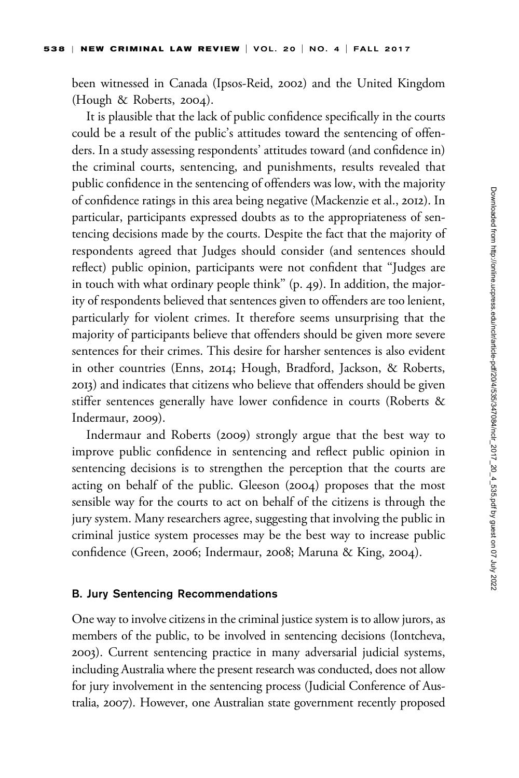been witnessed in Canada (Ipsos-Reid, 2002) and the United Kingdom (Hough & Roberts, 2004).

It is plausible that the lack of public confidence specifically in the courts could be a result of the public's attitudes toward the sentencing of offenders. In a study assessing respondents' attitudes toward (and confidence in) the criminal courts, sentencing, and punishments, results revealed that public confidence in the sentencing of offenders was low, with the majority of confidence ratings in this area being negative (Mackenzie et al., 2012). In particular, participants expressed doubts as to the appropriateness of sentencing decisions made by the courts. Despite the fact that the majority of respondents agreed that Judges should consider (and sentences should reflect) public opinion, participants were not confident that ''Judges are in touch with what ordinary people think'' (p. 49). In addition, the majority of respondents believed that sentences given to offenders are too lenient, particularly for violent crimes. It therefore seems unsurprising that the majority of participants believe that offenders should be given more severe sentences for their crimes. This desire for harsher sentences is also evident in other countries (Enns, 2014; Hough, Bradford, Jackson, & Roberts, 2013) and indicates that citizens who believe that offenders should be given stiffer sentences generally have lower confidence in courts (Roberts & Indermaur, 2009).

Indermaur and Roberts (2009) strongly argue that the best way to improve public confidence in sentencing and reflect public opinion in sentencing decisions is to strengthen the perception that the courts are acting on behalf of the public. Gleeson (2004) proposes that the most sensible way for the courts to act on behalf of the citizens is through the jury system. Many researchers agree, suggesting that involving the public in criminal justice system processes may be the best way to increase public confidence (Green, 2006; Indermaur, 2008; Maruna & King, 2004).

#### B. Jury Sentencing Recommendations

One way to involve citizens in the criminal justice system is to allow jurors, as members of the public, to be involved in sentencing decisions (Iontcheva, 2003). Current sentencing practice in many adversarial judicial systems, including Australia where the present research was conducted, does not allow for jury involvement in the sentencing process (Judicial Conference of Australia, 2007). However, one Australian state government recently proposed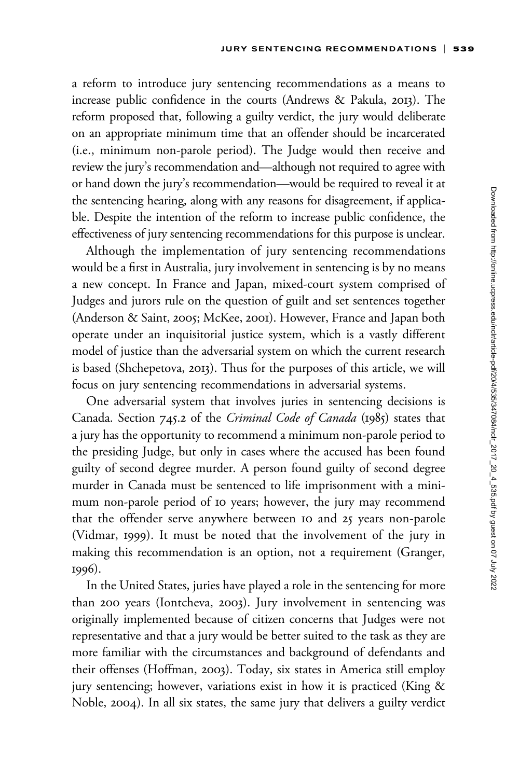a reform to introduce jury sentencing recommendations as a means to increase public confidence in the courts (Andrews & Pakula, 2013). The reform proposed that, following a guilty verdict, the jury would deliberate on an appropriate minimum time that an offender should be incarcerated (i.e., minimum non-parole period). The Judge would then receive and review the jury's recommendation and—although not required to agree with or hand down the jury's recommendation—would be required to reveal it at the sentencing hearing, along with any reasons for disagreement, if applicable. Despite the intention of the reform to increase public confidence, the effectiveness of jury sentencing recommendations for this purpose is unclear.

Although the implementation of jury sentencing recommendations would be a first in Australia, jury involvement in sentencing is by no means a new concept. In France and Japan, mixed-court system comprised of Judges and jurors rule on the question of guilt and set sentences together (Anderson & Saint, 2005; McKee, 2001). However, France and Japan both operate under an inquisitorial justice system, which is a vastly different model of justice than the adversarial system on which the current research is based (Shchepetova, 2013). Thus for the purposes of this article, we will focus on jury sentencing recommendations in adversarial systems.

One adversarial system that involves juries in sentencing decisions is Canada. Section 745.2 of the Criminal Code of Canada (1985) states that a jury has the opportunity to recommend a minimum non-parole period to the presiding Judge, but only in cases where the accused has been found guilty of second degree murder. A person found guilty of second degree murder in Canada must be sentenced to life imprisonment with a minimum non-parole period of 10 years; however, the jury may recommend that the offender serve anywhere between 10 and 25 years non-parole (Vidmar, 1999). It must be noted that the involvement of the jury in making this recommendation is an option, not a requirement (Granger, 1996).

In the United States, juries have played a role in the sentencing for more than 200 years (Iontcheva, 2003). Jury involvement in sentencing was originally implemented because of citizen concerns that Judges were not representative and that a jury would be better suited to the task as they are more familiar with the circumstances and background of defendants and their offenses (Hoffman, 2003). Today, six states in America still employ jury sentencing; however, variations exist in how it is practiced (King & Noble, 2004). In all six states, the same jury that delivers a guilty verdict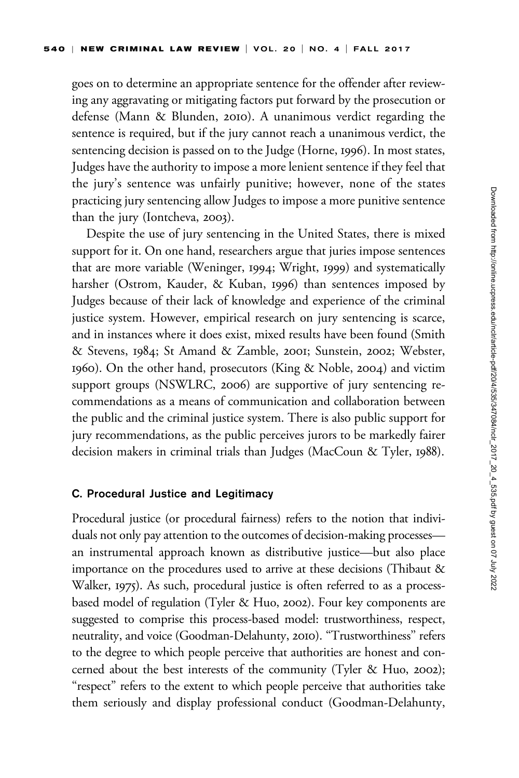goes on to determine an appropriate sentence for the offender after reviewing any aggravating or mitigating factors put forward by the prosecution or defense (Mann & Blunden, 2010). A unanimous verdict regarding the sentence is required, but if the jury cannot reach a unanimous verdict, the sentencing decision is passed on to the Judge (Horne, 1996). In most states, Judges have the authority to impose a more lenient sentence if they feel that the jury's sentence was unfairly punitive; however, none of the states practicing jury sentencing allow Judges to impose a more punitive sentence than the jury (Iontcheva, 2003).

Despite the use of jury sentencing in the United States, there is mixed support for it. On one hand, researchers argue that juries impose sentences that are more variable (Weninger, 1994; Wright, 1999) and systematically harsher (Ostrom, Kauder, & Kuban, 1996) than sentences imposed by Judges because of their lack of knowledge and experience of the criminal justice system. However, empirical research on jury sentencing is scarce, and in instances where it does exist, mixed results have been found (Smith & Stevens, 1984; St Amand & Zamble, 2001; Sunstein, 2002; Webster, 1960). On the other hand, prosecutors (King & Noble, 2004) and victim support groups (NSWLRC, 2006) are supportive of jury sentencing recommendations as a means of communication and collaboration between the public and the criminal justice system. There is also public support for jury recommendations, as the public perceives jurors to be markedly fairer decision makers in criminal trials than Judges (MacCoun & Tyler, 1988).

### C. Procedural Justice and Legitimacy

Procedural justice (or procedural fairness) refers to the notion that individuals not only pay attention to the outcomes of decision-making processes an instrumental approach known as distributive justice—but also place importance on the procedures used to arrive at these decisions (Thibaut & Walker, 1975). As such, procedural justice is often referred to as a processbased model of regulation (Tyler & Huo, 2002). Four key components are suggested to comprise this process-based model: trustworthiness, respect, neutrality, and voice (Goodman-Delahunty, 2010). ''Trustworthiness'' refers to the degree to which people perceive that authorities are honest and concerned about the best interests of the community (Tyler & Huo, 2002); "respect" refers to the extent to which people perceive that authorities take them seriously and display professional conduct (Goodman-Delahunty,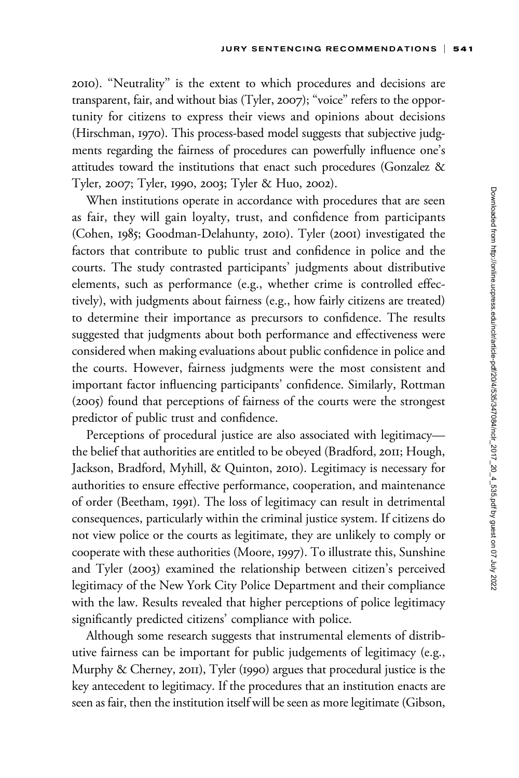2010). ''Neutrality'' is the extent to which procedures and decisions are transparent, fair, and without bias (Tyler, 2007); ''voice'' refers to the opportunity for citizens to express their views and opinions about decisions (Hirschman, 1970). This process-based model suggests that subjective judgments regarding the fairness of procedures can powerfully influence one's attitudes toward the institutions that enact such procedures (Gonzalez & Tyler, 2007; Tyler, 1990, 2003; Tyler & Huo, 2002).

When institutions operate in accordance with procedures that are seen as fair, they will gain loyalty, trust, and confidence from participants (Cohen, 1985; Goodman-Delahunty, 2010). Tyler (2001) investigated the factors that contribute to public trust and confidence in police and the courts. The study contrasted participants' judgments about distributive elements, such as performance (e.g., whether crime is controlled effectively), with judgments about fairness (e.g., how fairly citizens are treated) to determine their importance as precursors to confidence. The results suggested that judgments about both performance and effectiveness were considered when making evaluations about public confidence in police and the courts. However, fairness judgments were the most consistent and important factor influencing participants' confidence. Similarly, Rottman (2005) found that perceptions of fairness of the courts were the strongest predictor of public trust and confidence.

Perceptions of procedural justice are also associated with legitimacy the belief that authorities are entitled to be obeyed (Bradford, 2011; Hough, Jackson, Bradford, Myhill, & Quinton, 2010). Legitimacy is necessary for authorities to ensure effective performance, cooperation, and maintenance of order (Beetham, 1991). The loss of legitimacy can result in detrimental consequences, particularly within the criminal justice system. If citizens do not view police or the courts as legitimate, they are unlikely to comply or cooperate with these authorities (Moore, 1997). To illustrate this, Sunshine and Tyler (2003) examined the relationship between citizen's perceived legitimacy of the New York City Police Department and their compliance with the law. Results revealed that higher perceptions of police legitimacy significantly predicted citizens' compliance with police.

Although some research suggests that instrumental elements of distributive fairness can be important for public judgements of legitimacy (e.g., Murphy & Cherney, 2011), Tyler (1990) argues that procedural justice is the key antecedent to legitimacy. If the procedures that an institution enacts are seen as fair, then the institution itself will be seen as more legitimate (Gibson,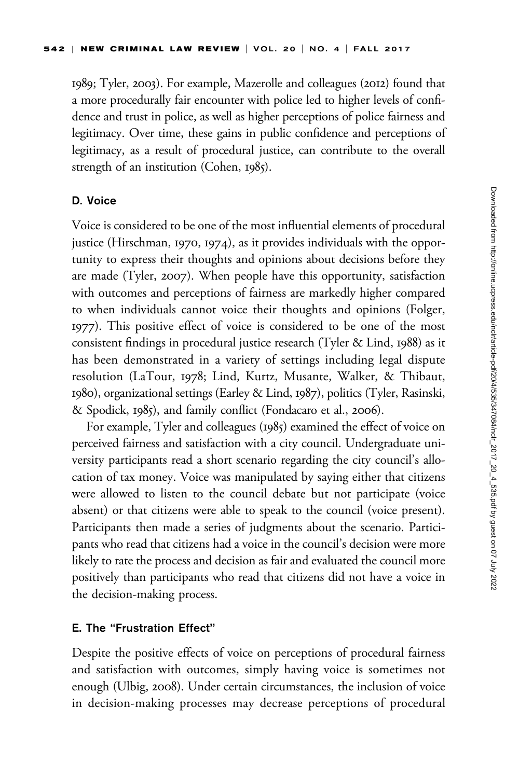1989; Tyler, 2003). For example, Mazerolle and colleagues (2012) found that a more procedurally fair encounter with police led to higher levels of confidence and trust in police, as well as higher perceptions of police fairness and legitimacy. Over time, these gains in public confidence and perceptions of legitimacy, as a result of procedural justice, can contribute to the overall strength of an institution (Cohen, 1985).

### D. Voice

Voice is considered to be one of the most influential elements of procedural justice (Hirschman, 1970, 1974), as it provides individuals with the opportunity to express their thoughts and opinions about decisions before they are made (Tyler, 2007). When people have this opportunity, satisfaction with outcomes and perceptions of fairness are markedly higher compared to when individuals cannot voice their thoughts and opinions (Folger, 1977). This positive effect of voice is considered to be one of the most consistent findings in procedural justice research (Tyler & Lind, 1988) as it has been demonstrated in a variety of settings including legal dispute resolution (LaTour, 1978; Lind, Kurtz, Musante, Walker, & Thibaut, 1980), organizational settings (Earley & Lind, 1987), politics (Tyler, Rasinski, & Spodick, 1985), and family conflict (Fondacaro et al., 2006).

For example, Tyler and colleagues (1985) examined the effect of voice on perceived fairness and satisfaction with a city council. Undergraduate university participants read a short scenario regarding the city council's allocation of tax money. Voice was manipulated by saying either that citizens were allowed to listen to the council debate but not participate (voice absent) or that citizens were able to speak to the council (voice present). Participants then made a series of judgments about the scenario. Participants who read that citizens had a voice in the council's decision were more likely to rate the process and decision as fair and evaluated the council more positively than participants who read that citizens did not have a voice in the decision-making process.

### E. The ''Frustration Effect''

Despite the positive effects of voice on perceptions of procedural fairness and satisfaction with outcomes, simply having voice is sometimes not enough (Ulbig, 2008). Under certain circumstances, the inclusion of voice in decision-making processes may decrease perceptions of procedural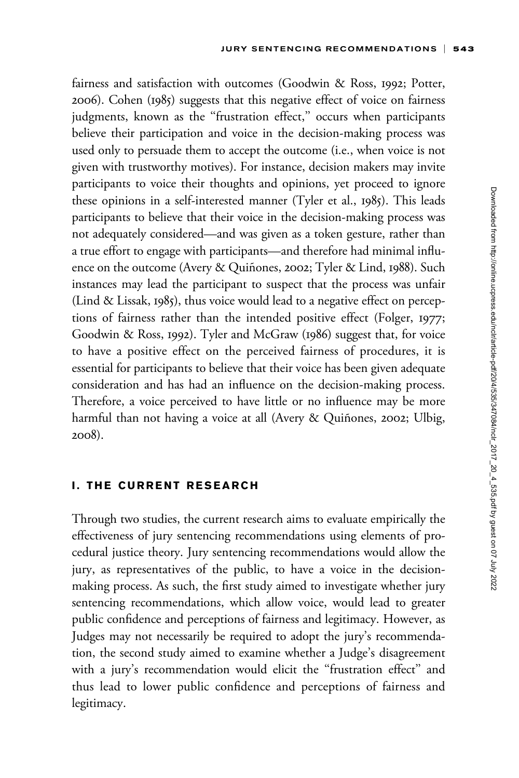fairness and satisfaction with outcomes (Goodwin & Ross, 1992; Potter, 2006). Cohen (1985) suggests that this negative effect of voice on fairness judgments, known as the "frustration effect," occurs when participants believe their participation and voice in the decision-making process was used only to persuade them to accept the outcome (i.e., when voice is not given with trustworthy motives). For instance, decision makers may invite participants to voice their thoughts and opinions, yet proceed to ignore these opinions in a self-interested manner (Tyler et al., 1985). This leads participants to believe that their voice in the decision-making process was not adequately considered—and was given as a token gesture, rather than a true effort to engage with participants—and therefore had minimal influence on the outcome (Avery & Quiñones, 2002; Tyler & Lind, 1988). Such instances may lead the participant to suspect that the process was unfair (Lind & Lissak, 1985), thus voice would lead to a negative effect on perceptions of fairness rather than the intended positive effect (Folger, 1977; Goodwin & Ross, 1992). Tyler and McGraw (1986) suggest that, for voice to have a positive effect on the perceived fairness of procedures, it is essential for participants to believe that their voice has been given adequate consideration and has had an influence on the decision-making process. Therefore, a voice perceived to have little or no influence may be more harmful than not having a voice at all (Avery & Quiñones, 2002; Ulbig, 2008).

### I. THE CURRENT RESEARCH

Through two studies, the current research aims to evaluate empirically the effectiveness of jury sentencing recommendations using elements of procedural justice theory. Jury sentencing recommendations would allow the jury, as representatives of the public, to have a voice in the decisionmaking process. As such, the first study aimed to investigate whether jury sentencing recommendations, which allow voice, would lead to greater public confidence and perceptions of fairness and legitimacy. However, as Judges may not necessarily be required to adopt the jury's recommendation, the second study aimed to examine whether a Judge's disagreement with a jury's recommendation would elicit the "frustration effect" and thus lead to lower public confidence and perceptions of fairness and legitimacy.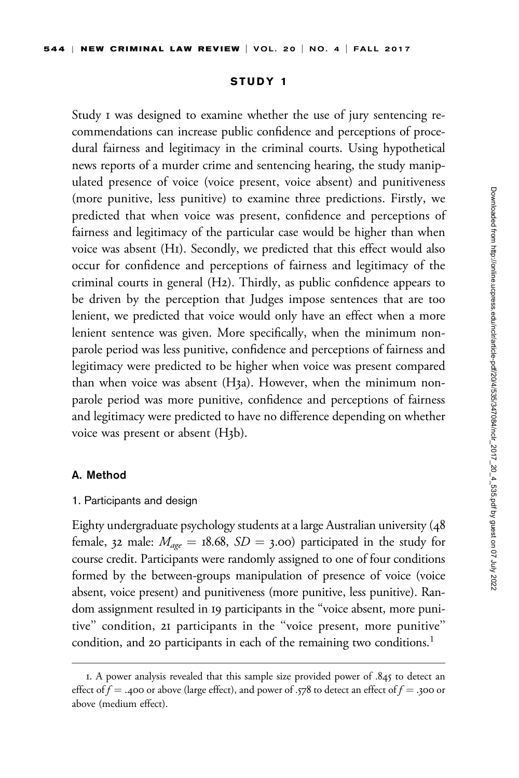### STUDY 1

Study 1 was designed to examine whether the use of jury sentencing recommendations can increase public confidence and perceptions of procedural fairness and legitimacy in the criminal courts. Using hypothetical news reports of a murder crime and sentencing hearing, the study manipulated presence of voice (voice present, voice absent) and punitiveness (more punitive, less punitive) to examine three predictions. Firstly, we predicted that when voice was present, confidence and perceptions of fairness and legitimacy of the particular case would be higher than when voice was absent (H1). Secondly, we predicted that this effect would also occur for confidence and perceptions of fairness and legitimacy of the criminal courts in general (H2). Thirdly, as public confidence appears to be driven by the perception that Judges impose sentences that are too lenient, we predicted that voice would only have an effect when a more lenient sentence was given. More specifically, when the minimum nonparole period was less punitive, confidence and perceptions of fairness and legitimacy were predicted to be higher when voice was present compared than when voice was absent (H3a). However, when the minimum nonparole period was more punitive, confidence and perceptions of fairness and legitimacy were predicted to have no difference depending on whether voice was present or absent (H3b).

### A. Method

#### 1. Participants and design

Eighty undergraduate psychology students at a large Australian university (48 female, 32 male:  $M_{age} = 18.68$ ,  $SD = 3.00$ ) participated in the study for course credit. Participants were randomly assigned to one of four conditions formed by the between-groups manipulation of presence of voice (voice absent, voice present) and punitiveness (more punitive, less punitive). Random assignment resulted in 19 participants in the ''voice absent, more punitive'' condition, 21 participants in the ''voice present, more punitive'' condition, and 20 participants in each of the remaining two conditions.<sup>1</sup>

<sup>1.</sup> A power analysis revealed that this sample size provided power of .845 to detect an effect of  $f = .400$  or above (large effect), and power of .578 to detect an effect of  $f = .300$  or above (medium effect).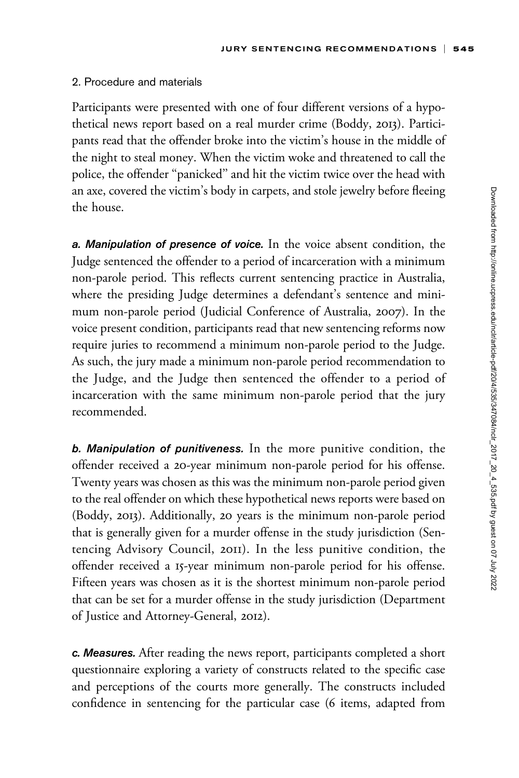## 2. Procedure and materials

Participants were presented with one of four different versions of a hypothetical news report based on a real murder crime (Boddy, 2013). Participants read that the offender broke into the victim's house in the middle of the night to steal money. When the victim woke and threatened to call the police, the offender ''panicked'' and hit the victim twice over the head with an axe, covered the victim's body in carpets, and stole jewelry before fleeing the house.

a. Manipulation of presence of voice. In the voice absent condition, the Judge sentenced the offender to a period of incarceration with a minimum non-parole period. This reflects current sentencing practice in Australia, where the presiding Judge determines a defendant's sentence and minimum non-parole period (Judicial Conference of Australia, 2007). In the voice present condition, participants read that new sentencing reforms now require juries to recommend a minimum non-parole period to the Judge. As such, the jury made a minimum non-parole period recommendation to the Judge, and the Judge then sentenced the offender to a period of incarceration with the same minimum non-parole period that the jury recommended.

**b.** Manipulation of punitiveness. In the more punitive condition, the offender received a 20-year minimum non-parole period for his offense. Twenty years was chosen as this was the minimum non-parole period given to the real offender on which these hypothetical news reports were based on (Boddy, 2013). Additionally, 20 years is the minimum non-parole period that is generally given for a murder offense in the study jurisdiction (Sentencing Advisory Council, 2011). In the less punitive condition, the offender received a 15-year minimum non-parole period for his offense. Fifteen years was chosen as it is the shortest minimum non-parole period that can be set for a murder offense in the study jurisdiction (Department of Justice and Attorney-General, 2012).

c. Measures. After reading the news report, participants completed a short questionnaire exploring a variety of constructs related to the specific case and perceptions of the courts more generally. The constructs included confidence in sentencing for the particular case (6 items, adapted from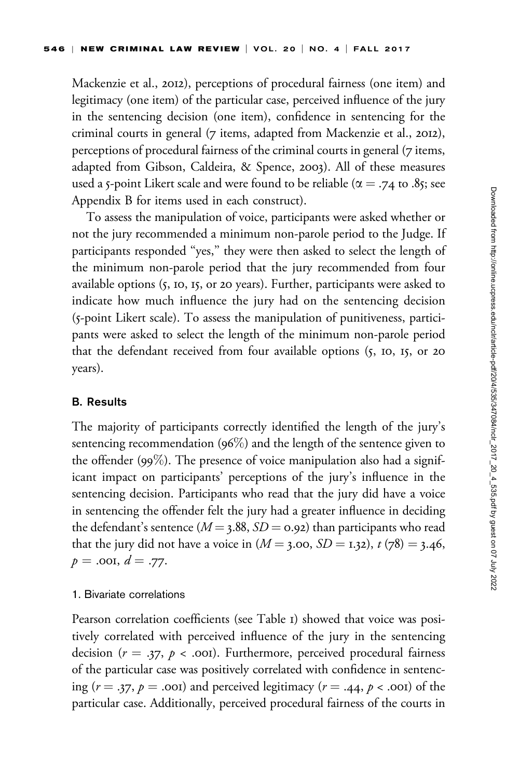Mackenzie et al., 2012), perceptions of procedural fairness (one item) and legitimacy (one item) of the particular case, perceived influence of the jury in the sentencing decision (one item), confidence in sentencing for the criminal courts in general (7 items, adapted from Mackenzie et al., 2012), perceptions of procedural fairness of the criminal courts in general (7 items, adapted from Gibson, Caldeira, & Spence, 2003). All of these measures used a 5-point Likert scale and were found to be reliable ( $\alpha = .74$  to .85; see Appendix B for items used in each construct).

To assess the manipulation of voice, participants were asked whether or not the jury recommended a minimum non-parole period to the Judge. If participants responded ''yes,'' they were then asked to select the length of the minimum non-parole period that the jury recommended from four available options (5, 10, 15, or 20 years). Further, participants were asked to indicate how much influence the jury had on the sentencing decision (5-point Likert scale). To assess the manipulation of punitiveness, participants were asked to select the length of the minimum non-parole period that the defendant received from four available options (5, 10, 15, or 20 years).

#### B. Results

The majority of participants correctly identified the length of the jury's sentencing recommendation (96%) and the length of the sentence given to the offender (99%). The presence of voice manipulation also had a significant impact on participants' perceptions of the jury's influence in the sentencing decision. Participants who read that the jury did have a voice in sentencing the offender felt the jury had a greater influence in deciding the defendant's sentence ( $M = 3.88$ ,  $SD = 0.92$ ) than participants who read that the jury did not have a voice in ( $M = 3.00$ ,  $SD = 1.32$ ),  $t (78) = 3.46$ ,  $p = .001, d = .77.$ 

### 1. Bivariate correlations

Pearson correlation coefficients (see Table 1) showed that voice was positively correlated with perceived influence of the jury in the sentencing decision ( $r = .37, p < .001$ ). Furthermore, perceived procedural fairness of the particular case was positively correlated with confidence in sentencing ( $r = .37$ ,  $p = .001$ ) and perceived legitimacy ( $r = .44$ ,  $p < .001$ ) of the particular case. Additionally, perceived procedural fairness of the courts in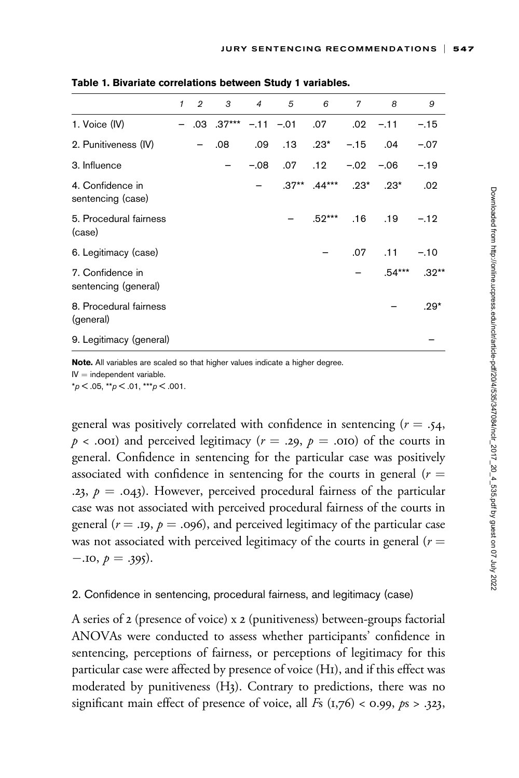|                                          | $\mathbf{1}$ | $\overline{2}$           | 3              | $\overline{4}$ | 5            | 6                 | 7            | 8        | 9        |
|------------------------------------------|--------------|--------------------------|----------------|----------------|--------------|-------------------|--------------|----------|----------|
| 1. Voice (IV)                            |              |                          | $.03$ $.37***$ |                | $-.11 - .01$ | .07               | .02          | $-.11$   | $-.15$   |
| 2. Punitiveness (IV)                     |              | $\overline{\phantom{m}}$ | .08            | .09            | .13          | $.23*$            | $-.15$       | .04      | $-.07$   |
| 3. Influence                             |              |                          |                | $-0.08$        | .07          | .12               | $-.02 - .06$ |          | $-.19$   |
| 4. Confidence in<br>sentencing (case)    |              |                          |                |                |              | $.37***$ $.44***$ | $.23^*$      | $.23*$   | .02      |
| 5. Procedural fairness<br>(case)         |              |                          |                |                |              | $.52***$          | .16          | .19      | $-.12$   |
| 6. Legitimacy (case)                     |              |                          |                |                |              |                   | .07          | .11      | $-.10$   |
| 7. Confidence in<br>sentencing (general) |              |                          |                |                |              |                   |              | $.54***$ | $.32***$ |
| 8. Procedural fairness<br>(general)      |              |                          |                |                |              |                   |              |          | $.29*$   |
| 9. Legitimacy (general)                  |              |                          |                |                |              |                   |              |          |          |

Table 1. Bivariate correlations between Study 1 variables.

Note. All variables are scaled so that higher values indicate a higher degree.  $IV =$  independent variable.  $*_p$  < .05,  $*_p$  < .01,  $**_p$  < .001.

general was positively correlated with confidence in sentencing ( $r = .54$ ,  $p \lt$  .001) and perceived legitimacy ( $r = .29$ ,  $p = .010$ ) of the courts in general. Confidence in sentencing for the particular case was positively associated with confidence in sentencing for the courts in general ( $r =$ .23,  $p = .043$ ). However, perceived procedural fairness of the particular case was not associated with perceived procedural fairness of the courts in general ( $r = .19$ ,  $p = .096$ ), and perceived legitimacy of the particular case was not associated with perceived legitimacy of the courts in general ( $r =$  $-.10, p = .395).$ 

#### 2. Confidence in sentencing, procedural fairness, and legitimacy (case)

A series of 2 (presence of voice) x 2 (punitiveness) between-groups factorial ANOVAs were conducted to assess whether participants' confidence in sentencing, perceptions of fairness, or perceptions of legitimacy for this particular case were affected by presence of voice (H1), and if this effect was moderated by punitiveness (H3). Contrary to predictions, there was no significant main effect of presence of voice, all  $F_s$  (1,76) < 0.99,  $ps > .323$ ,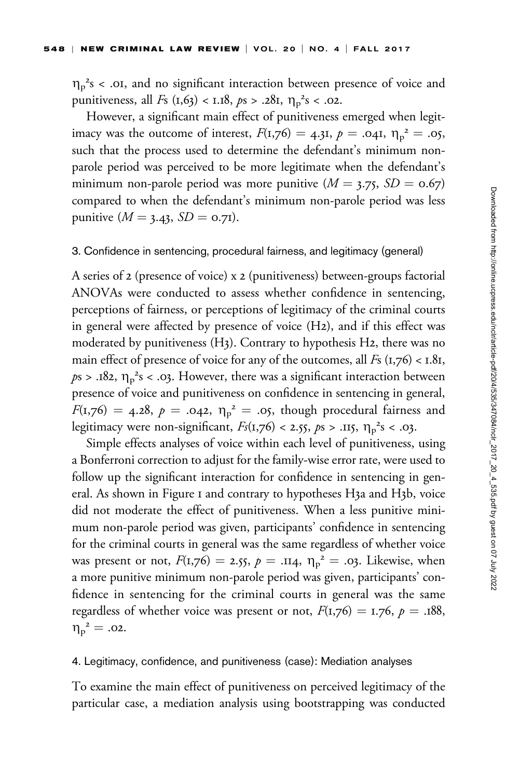$\eta_p^2$ s < .01, and no significant interaction between presence of voice and punitiveness, all  $F_5$  (1,63) < 1.18,  $ps > .28$ 1,  $\eta_p^2 s < .02$ .

However, a significant main effect of punitiveness emerged when legitimacy was the outcome of interest,  $F(1,76) = 4.31$ ,  $p = .041$ ,  $\eta_p^2 = .05$ , such that the process used to determine the defendant's minimum nonparole period was perceived to be more legitimate when the defendant's minimum non-parole period was more punitive ( $M = 3.75$ ,  $SD = 0.67$ ) compared to when the defendant's minimum non-parole period was less punitive  $(M = 3.43, SD = 0.71)$ .

#### 3. Confidence in sentencing, procedural fairness, and legitimacy (general)

A series of 2 (presence of voice) x 2 (punitiveness) between-groups factorial ANOVAs were conducted to assess whether confidence in sentencing, perceptions of fairness, or perceptions of legitimacy of the criminal courts in general were affected by presence of voice (H2), and if this effect was moderated by punitiveness (H3). Contrary to hypothesis H2, there was no main effect of presence of voice for any of the outcomes, all  $Fs$  (1,76) < 1.81, ps > .182,  $\eta_p^2$ s < .03. However, there was a significant interaction between presence of voice and punitiveness on confidence in sentencing in general,  $F(1,76) = 4.28, p = .042, \eta_p^2 = .05$ , though procedural fairness and legitimacy were non-significant,  $Fs(1,76) < 2.55$ ,  $ps > .115$ ,  $\eta_p^2 s < .03$ .

Simple effects analyses of voice within each level of punitiveness, using a Bonferroni correction to adjust for the family-wise error rate, were used to follow up the significant interaction for confidence in sentencing in general. As shown in Figure 1 and contrary to hypotheses H3a and H3b, voice did not moderate the effect of punitiveness. When a less punitive minimum non-parole period was given, participants' confidence in sentencing for the criminal courts in general was the same regardless of whether voice was present or not,  $F(1,76) = 2.55$ ,  $p = .114$ ,  $\eta_p^2 = .03$ . Likewise, when a more punitive minimum non-parole period was given, participants' confidence in sentencing for the criminal courts in general was the same regardless of whether voice was present or not,  $F(1,76) = 1.76$ ,  $p = .188$ ,  $\eta_{p}^{2} = .02$ .

#### 4. Legitimacy, confidence, and punitiveness (case): Mediation analyses

To examine the main effect of punitiveness on perceived legitimacy of the particular case, a mediation analysis using bootstrapping was conducted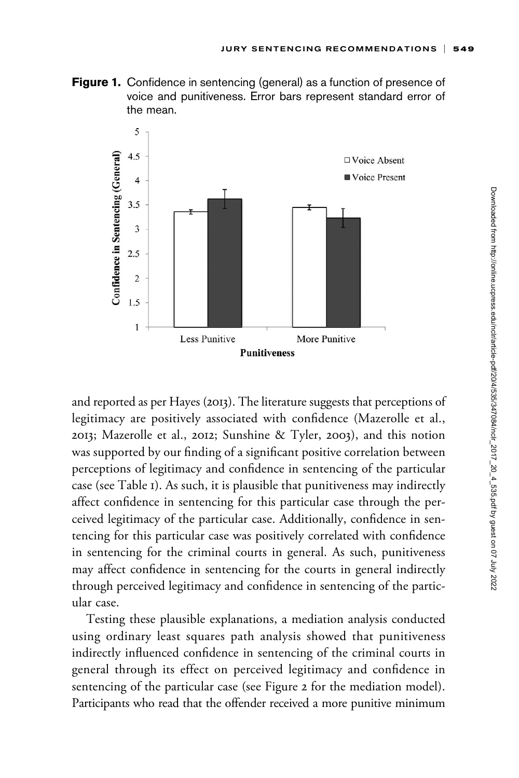Figure 1. Confidence in sentencing (general) as a function of presence of voice and punitiveness. Error bars represent standard error of the mean.



and reported as per Hayes (2013). The literature suggests that perceptions of legitimacy are positively associated with confidence (Mazerolle et al., 2013; Mazerolle et al., 2012; Sunshine & Tyler, 2003), and this notion was supported by our finding of a significant positive correlation between perceptions of legitimacy and confidence in sentencing of the particular case (see Table 1). As such, it is plausible that punitiveness may indirectly affect confidence in sentencing for this particular case through the perceived legitimacy of the particular case. Additionally, confidence in sentencing for this particular case was positively correlated with confidence in sentencing for the criminal courts in general. As such, punitiveness may affect confidence in sentencing for the courts in general indirectly through perceived legitimacy and confidence in sentencing of the particular case.

Testing these plausible explanations, a mediation analysis conducted using ordinary least squares path analysis showed that punitiveness indirectly influenced confidence in sentencing of the criminal courts in general through its effect on perceived legitimacy and confidence in sentencing of the particular case (see Figure 2 for the mediation model). Participants who read that the offender received a more punitive minimum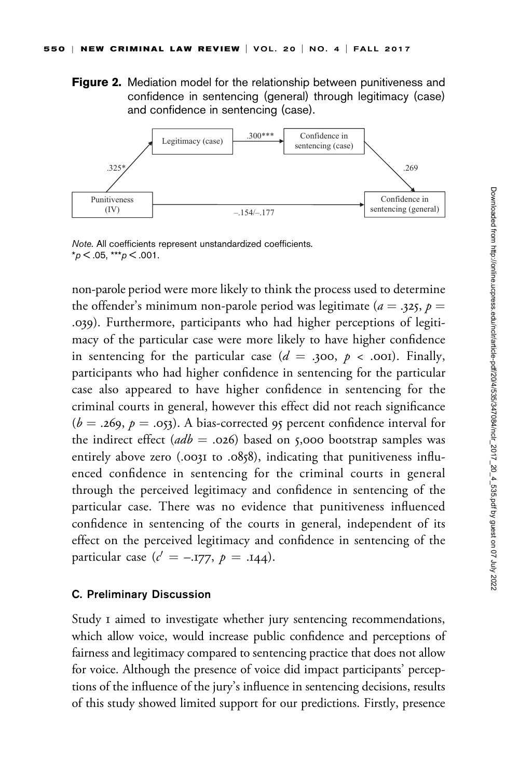**Figure 2.** Mediation model for the relationship between punitiveness and confidence in sentencing (general) through legitimacy (case) and confidence in sentencing (case).



Note. All coefficients represent unstandardized coefficients.  $*_p$  < .05, \*\*\*  $_p$  < .001.

non-parole period were more likely to think the process used to determine the offender's minimum non-parole period was legitimate ( $a = .325$ ,  $p =$ .039). Furthermore, participants who had higher perceptions of legitimacy of the particular case were more likely to have higher confidence in sentencing for the particular case ( $d = .300, p < .001$ ). Finally, participants who had higher confidence in sentencing for the particular case also appeared to have higher confidence in sentencing for the criminal courts in general, however this effect did not reach significance  $(b = .269, p = .053)$ . A bias-corrected 95 percent confidence interval for the indirect effect ( $adb = .026$ ) based on 5,000 bootstrap samples was entirely above zero (.0031 to .0858), indicating that punitiveness influenced confidence in sentencing for the criminal courts in general through the perceived legitimacy and confidence in sentencing of the particular case. There was no evidence that punitiveness influenced confidence in sentencing of the courts in general, independent of its effect on the perceived legitimacy and confidence in sentencing of the particular case ( $c' = -.177, p = .144$ ).

### C. Preliminary Discussion

Study 1 aimed to investigate whether jury sentencing recommendations, which allow voice, would increase public confidence and perceptions of fairness and legitimacy compared to sentencing practice that does not allow for voice. Although the presence of voice did impact participants' perceptions of the influence of the jury's influence in sentencing decisions, results of this study showed limited support for our predictions. Firstly, presence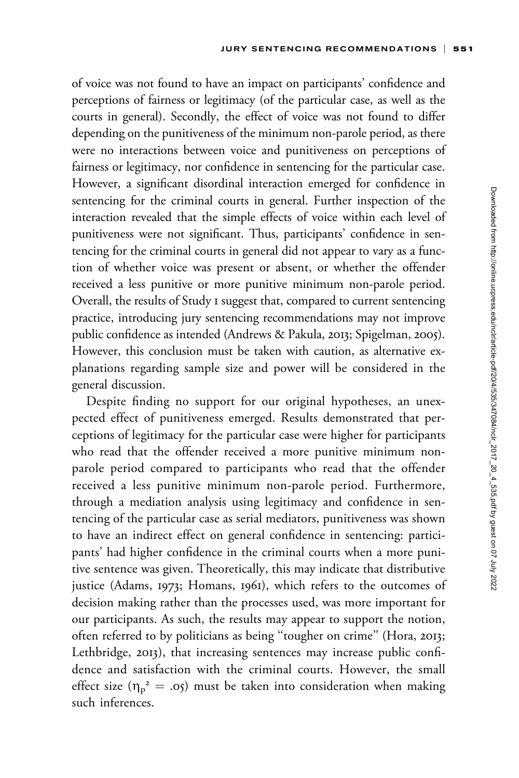of voice was not found to have an impact on participants' confidence and perceptions of fairness or legitimacy (of the particular case, as well as the courts in general). Secondly, the effect of voice was not found to differ depending on the punitiveness of the minimum non-parole period, as there were no interactions between voice and punitiveness on perceptions of fairness or legitimacy, nor confidence in sentencing for the particular case. However, a significant disordinal interaction emerged for confidence in sentencing for the criminal courts in general. Further inspection of the interaction revealed that the simple effects of voice within each level of punitiveness were not significant. Thus, participants' confidence in sentencing for the criminal courts in general did not appear to vary as a function of whether voice was present or absent, or whether the offender received a less punitive or more punitive minimum non-parole period. Overall, the results of Study 1 suggest that, compared to current sentencing practice, introducing jury sentencing recommendations may not improve public confidence as intended (Andrews & Pakula, 2013; Spigelman, 2005). However, this conclusion must be taken with caution, as alternative explanations regarding sample size and power will be considered in the general discussion.

Despite finding no support for our original hypotheses, an unexpected effect of punitiveness emerged. Results demonstrated that perceptions of legitimacy for the particular case were higher for participants who read that the offender received a more punitive minimum nonparole period compared to participants who read that the offender received a less punitive minimum non-parole period. Furthermore, through a mediation analysis using legitimacy and confidence in sentencing of the particular case as serial mediators, punitiveness was shown to have an indirect effect on general confidence in sentencing: participants' had higher confidence in the criminal courts when a more punitive sentence was given. Theoretically, this may indicate that distributive justice (Adams, 1973; Homans, 1961), which refers to the outcomes of decision making rather than the processes used, was more important for our participants. As such, the results may appear to support the notion, often referred to by politicians as being ''tougher on crime'' (Hora, 2013; Lethbridge, 2013), that increasing sentences may increase public confidence and satisfaction with the criminal courts. However, the small effect size ( $\eta_P^2 = .05$ ) must be taken into consideration when making such inferences.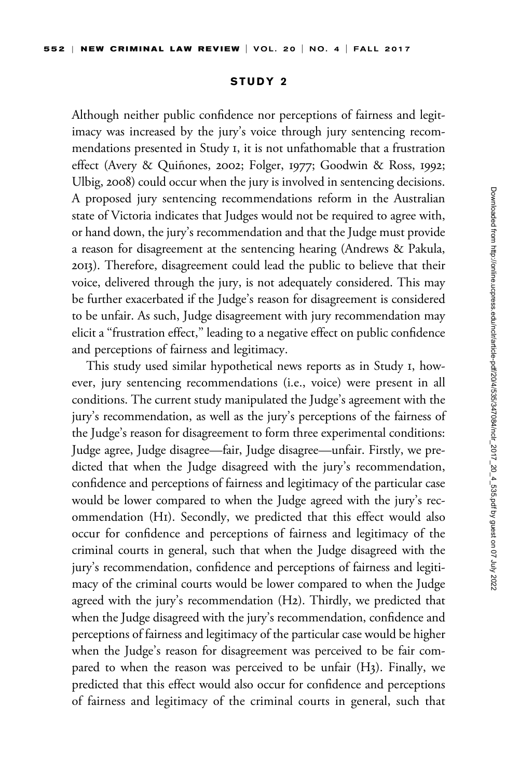#### STUDY 2

Although neither public confidence nor perceptions of fairness and legitimacy was increased by the jury's voice through jury sentencing recommendations presented in Study 1, it is not unfathomable that a frustration effect (Avery & Quiñones, 2002; Folger, 1977; Goodwin & Ross, 1992; Ulbig, 2008) could occur when the jury is involved in sentencing decisions. A proposed jury sentencing recommendations reform in the Australian state of Victoria indicates that Judges would not be required to agree with, or hand down, the jury's recommendation and that the Judge must provide a reason for disagreement at the sentencing hearing (Andrews & Pakula, 2013). Therefore, disagreement could lead the public to believe that their voice, delivered through the jury, is not adequately considered. This may be further exacerbated if the Judge's reason for disagreement is considered to be unfair. As such, Judge disagreement with jury recommendation may elicit a ''frustration effect,'' leading to a negative effect on public confidence and perceptions of fairness and legitimacy.

This study used similar hypothetical news reports as in Study 1, however, jury sentencing recommendations (i.e., voice) were present in all conditions. The current study manipulated the Judge's agreement with the jury's recommendation, as well as the jury's perceptions of the fairness of the Judge's reason for disagreement to form three experimental conditions: Judge agree, Judge disagree—fair, Judge disagree—unfair. Firstly, we predicted that when the Judge disagreed with the jury's recommendation, confidence and perceptions of fairness and legitimacy of the particular case would be lower compared to when the Judge agreed with the jury's recommendation (H1). Secondly, we predicted that this effect would also occur for confidence and perceptions of fairness and legitimacy of the criminal courts in general, such that when the Judge disagreed with the jury's recommendation, confidence and perceptions of fairness and legitimacy of the criminal courts would be lower compared to when the Judge agreed with the jury's recommendation (H2). Thirdly, we predicted that when the Judge disagreed with the jury's recommendation, confidence and perceptions of fairness and legitimacy of the particular case would be higher when the Judge's reason for disagreement was perceived to be fair compared to when the reason was perceived to be unfair (H3). Finally, we predicted that this effect would also occur for confidence and perceptions of fairness and legitimacy of the criminal courts in general, such that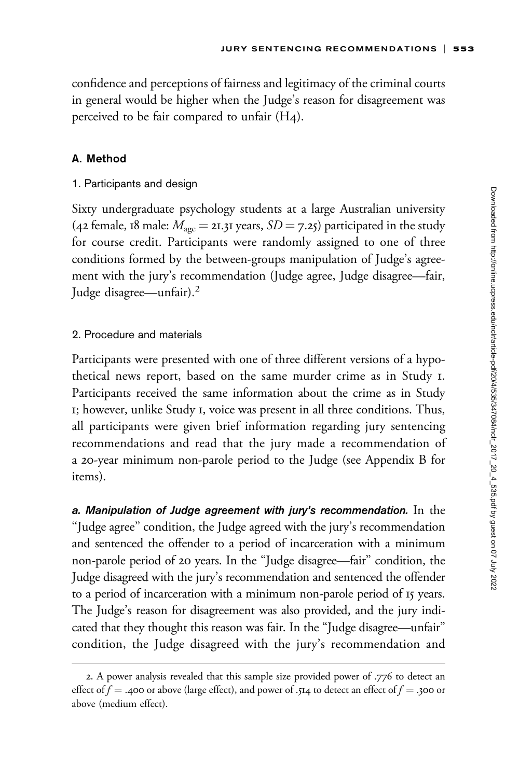confidence and perceptions of fairness and legitimacy of the criminal courts in general would be higher when the Judge's reason for disagreement was perceived to be fair compared to unfair (H4).

## A. Method

### 1. Participants and design

Sixty undergraduate psychology students at a large Australian university (42 female, 18 male:  $M_{\text{age}} = 21.31$  years,  $SD = 7.25$ ) participated in the study for course credit. Participants were randomly assigned to one of three conditions formed by the between-groups manipulation of Judge's agreement with the jury's recommendation (Judge agree, Judge disagree—fair, Judge disagree—unfair).<sup>2</sup>

### 2. Procedure and materials

Participants were presented with one of three different versions of a hypothetical news report, based on the same murder crime as in Study 1. Participants received the same information about the crime as in Study 1; however, unlike Study 1, voice was present in all three conditions. Thus, all participants were given brief information regarding jury sentencing recommendations and read that the jury made a recommendation of a 20-year minimum non-parole period to the Judge (see Appendix B for items).

a. Manipulation of Judge agreement with jury's recommendation. In the ''Judge agree'' condition, the Judge agreed with the jury's recommendation and sentenced the offender to a period of incarceration with a minimum non-parole period of 20 years. In the ''Judge disagree—fair'' condition, the Judge disagreed with the jury's recommendation and sentenced the offender to a period of incarceration with a minimum non-parole period of 15 years. The Judge's reason for disagreement was also provided, and the jury indicated that they thought this reason was fair. In the ''Judge disagree—unfair'' condition, the Judge disagreed with the jury's recommendation and

<sup>2.</sup> A power analysis revealed that this sample size provided power of .776 to detect an effect of  $f = .400$  or above (large effect), and power of .514 to detect an effect of  $f = .300$  or above (medium effect).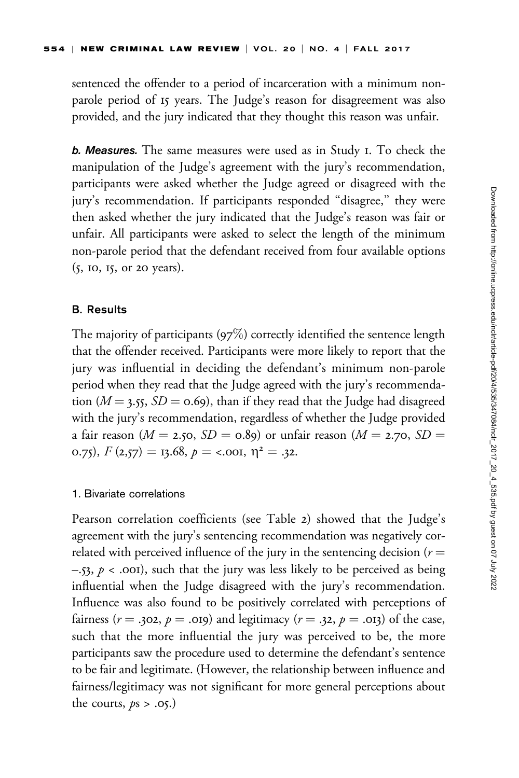sentenced the offender to a period of incarceration with a minimum nonparole period of 15 years. The Judge's reason for disagreement was also provided, and the jury indicated that they thought this reason was unfair.

**b. Measures.** The same measures were used as in Study I. To check the manipulation of the Judge's agreement with the jury's recommendation, participants were asked whether the Judge agreed or disagreed with the jury's recommendation. If participants responded ''disagree,'' they were then asked whether the jury indicated that the Judge's reason was fair or unfair. All participants were asked to select the length of the minimum non-parole period that the defendant received from four available options (5, 10, 15, or 20 years).

### B. Results

The majority of participants ( $97\%$ ) correctly identified the sentence length that the offender received. Participants were more likely to report that the jury was influential in deciding the defendant's minimum non-parole period when they read that the Judge agreed with the jury's recommendation ( $M = 3.55$ ,  $SD = 0.69$ ), than if they read that the Judge had disagreed with the jury's recommendation, regardless of whether the Judge provided a fair reason ( $M = 2.50$ ,  $SD = 0.89$ ) or unfair reason ( $M = 2.70$ ,  $SD =$ 0.75),  $F(2,57) = 13.68, p = 0.001, \eta^2 = .32$ .

### 1. Bivariate correlations

Pearson correlation coefficients (see Table 2) showed that the Judge's agreement with the jury's sentencing recommendation was negatively correlated with perceived influence of the jury in the sentencing decision ( $r =$  $-53$ ,  $p <$  .001), such that the jury was less likely to be perceived as being influential when the Judge disagreed with the jury's recommendation. Influence was also found to be positively correlated with perceptions of fairness ( $r = .302$ ,  $p = .019$ ) and legitimacy ( $r = .32$ ,  $p = .013$ ) of the case, such that the more influential the jury was perceived to be, the more participants saw the procedure used to determine the defendant's sentence to be fair and legitimate. (However, the relationship between influence and fairness/legitimacy was not significant for more general perceptions about the courts,  $ps > .05$ .)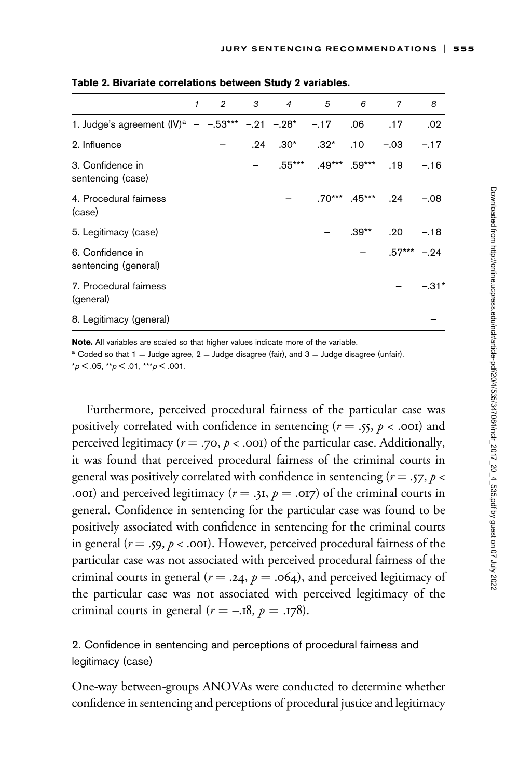|                                                         | 1 | $\overline{2}$ | 3   | $\overline{4}$ | 5           | 6                 | 7        | 8       |
|---------------------------------------------------------|---|----------------|-----|----------------|-------------|-------------------|----------|---------|
| 1. Judge's agreement $(IV)^a$ - -.53*** -.21 -.28* -.17 |   |                |     |                |             | .06               | .17      | .02     |
| 2. Influence                                            |   |                | .24 | $.30*$         | $.32^*$ .10 |                   | $-.03$   | $-.17$  |
| 3. Confidence in<br>sentencing (case)                   |   |                |     | $.55***$       |             | .49*** .59***     | .19      | $-.16$  |
| 4. Procedural fairness<br>(case)                        |   |                |     |                |             | $.70***$ $.45***$ | .24      | $-.08$  |
| 5. Legitimacy (case)                                    |   |                |     |                |             | $.39**$           | .20      | $-.18$  |
| 6. Confidence in<br>sentencing (general)                |   |                |     |                |             |                   | $.57***$ | $-.24$  |
| 7. Procedural fairness<br>(general)                     |   |                |     |                |             |                   |          | $-.31*$ |
| 8. Legitimacy (general)                                 |   |                |     |                |             |                   |          |         |

Table 2. Bivariate correlations between Study 2 variables.

Note. All variables are scaled so that higher values indicate more of the variable. <sup>a</sup> Coded so that  $1 =$  Judge agree,  $2 =$  Judge disagree (fair), and  $3 =$  Judge disagree (unfair).

 $*_p$  < .05,  $*_p$  < .01,  $**_p$  < .001.

Furthermore, perceived procedural fairness of the particular case was positively correlated with confidence in sentencing ( $r = .55$ ,  $p < .001$ ) and perceived legitimacy ( $r = .70$ ,  $p < .001$ ) of the particular case. Additionally, it was found that perceived procedural fairness of the criminal courts in general was positively correlated with confidence in sentencing ( $r = .57$ ,  $p <$ .001) and perceived legitimacy ( $r = .31$ ,  $p = .017$ ) of the criminal courts in general. Confidence in sentencing for the particular case was found to be positively associated with confidence in sentencing for the criminal courts in general ( $r = .59$ ,  $p < .001$ ). However, perceived procedural fairness of the particular case was not associated with perceived procedural fairness of the criminal courts in general ( $r = .24$ ,  $p = .064$ ), and perceived legitimacy of the particular case was not associated with perceived legitimacy of the criminal courts in general ( $r = -.18$ ,  $p = .178$ ).

# 2. Confidence in sentencing and perceptions of procedural fairness and legitimacy (case)

One-way between-groups ANOVAs were conducted to determine whether confidence in sentencing and perceptions of procedural justice and legitimacy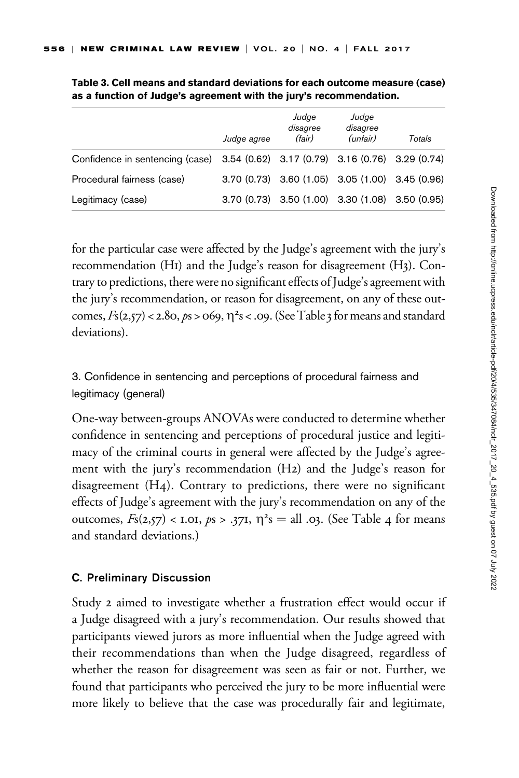|                                                                                 | Judge agree | Judge<br>disagree<br>(fair) | Judge<br>disagree<br>(unfair)                   | Totals |
|---------------------------------------------------------------------------------|-------------|-----------------------------|-------------------------------------------------|--------|
| Confidence in sentencing (case) 3.54 (0.62) 3.17 (0.79) 3.16 (0.76) 3.29 (0.74) |             |                             |                                                 |        |
| Procedural fairness (case)                                                      |             |                             | 3.70 (0.73) 3.60 (1.05) 3.05 (1.00) 3.45 (0.96) |        |
| Legitimacy (case)                                                               |             |                             | 3.70 (0.73) 3.50 (1.00) 3.30 (1.08) 3.50 (0.95) |        |

Table 3. Cell means and standard deviations for each outcome measure (case) as a function of Judge's agreement with the jury's recommendation.

for the particular case were affected by the Judge's agreement with the jury's recommendation (H1) and the Judge's reason for disagreement (H3). Contrary to predictions, there were no significant effects of Judge's agreement with the jury's recommendation, or reason for disagreement, on any of these outcomes,  $Fs(2,57) < 2.8$ 0, ps > 069,  $\eta^2 s <$  .09. (See Table 3 for means and standard deviations).

3. Confidence in sentencing and perceptions of procedural fairness and legitimacy (general)

One-way between-groups ANOVAs were conducted to determine whether confidence in sentencing and perceptions of procedural justice and legitimacy of the criminal courts in general were affected by the Judge's agreement with the jury's recommendation (H2) and the Judge's reason for disagreement (H4). Contrary to predictions, there were no significant effects of Judge's agreement with the jury's recommendation on any of the outcomes,  $Fs(2,57)$  < 1.01, ps > .371,  $\eta^2s$  = all .03. (See Table 4 for means and standard deviations.)

## C. Preliminary Discussion

Study 2 aimed to investigate whether a frustration effect would occur if a Judge disagreed with a jury's recommendation. Our results showed that participants viewed jurors as more influential when the Judge agreed with their recommendations than when the Judge disagreed, regardless of whether the reason for disagreement was seen as fair or not. Further, we found that participants who perceived the jury to be more influential were more likely to believe that the case was procedurally fair and legitimate,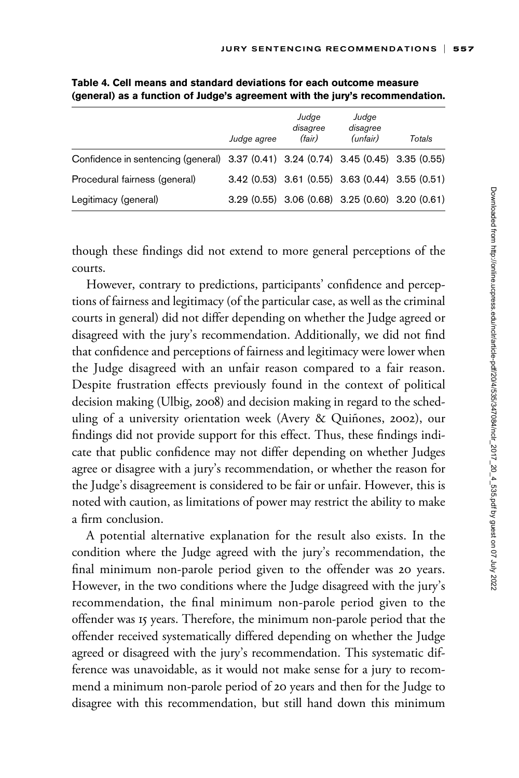|                                                                                    | Judge agree | Judge<br>disagree<br>(fair)                     | Judge<br>disagree<br>(unfair) | Totals |
|------------------------------------------------------------------------------------|-------------|-------------------------------------------------|-------------------------------|--------|
| Confidence in sentencing (general) 3.37 (0.41) 3.24 (0.74) 3.45 (0.45) 3.35 (0.55) |             |                                                 |                               |        |
| Procedural fairness (general)                                                      |             | 3.42 (0.53) 3.61 (0.55) 3.63 (0.44) 3.55 (0.51) |                               |        |
| Legitimacy (general)                                                               |             | 3.29 (0.55) 3.06 (0.68) 3.25 (0.60) 3.20 (0.61) |                               |        |

Table 4. Cell means and standard deviations for each outcome measure (general) as a function of Judge's agreement with the jury's recommendation.

though these findings did not extend to more general perceptions of the courts.

However, contrary to predictions, participants' confidence and perceptions of fairness and legitimacy (of the particular case, as well as the criminal courts in general) did not differ depending on whether the Judge agreed or disagreed with the jury's recommendation. Additionally, we did not find that confidence and perceptions of fairness and legitimacy were lower when the Judge disagreed with an unfair reason compared to a fair reason. Despite frustration effects previously found in the context of political decision making (Ulbig, 2008) and decision making in regard to the scheduling of a university orientation week (Avery & Quiñones, 2002), our findings did not provide support for this effect. Thus, these findings indicate that public confidence may not differ depending on whether Judges agree or disagree with a jury's recommendation, or whether the reason for the Judge's disagreement is considered to be fair or unfair. However, this is noted with caution, as limitations of power may restrict the ability to make a firm conclusion.

A potential alternative explanation for the result also exists. In the condition where the Judge agreed with the jury's recommendation, the final minimum non-parole period given to the offender was 20 years. However, in the two conditions where the Judge disagreed with the jury's recommendation, the final minimum non-parole period given to the offender was 15 years. Therefore, the minimum non-parole period that the offender received systematically differed depending on whether the Judge agreed or disagreed with the jury's recommendation. This systematic difference was unavoidable, as it would not make sense for a jury to recommend a minimum non-parole period of 20 years and then for the Judge to disagree with this recommendation, but still hand down this minimum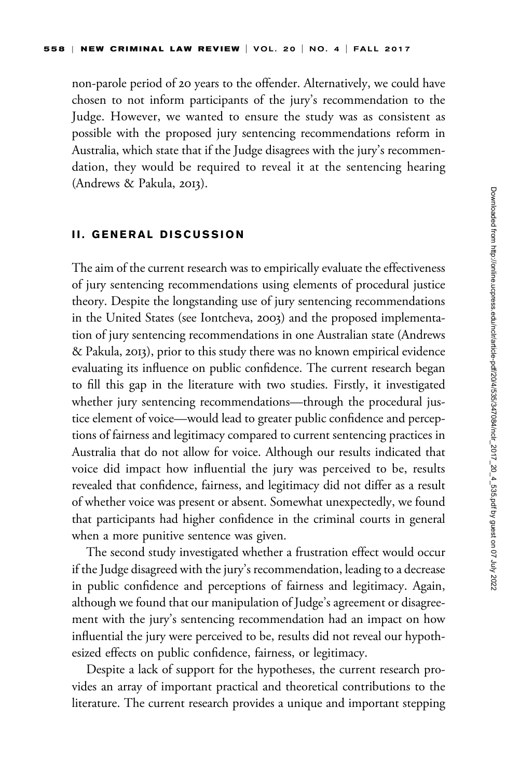non-parole period of 20 years to the offender. Alternatively, we could have chosen to not inform participants of the jury's recommendation to the Judge. However, we wanted to ensure the study was as consistent as possible with the proposed jury sentencing recommendations reform in Australia, which state that if the Judge disagrees with the jury's recommendation, they would be required to reveal it at the sentencing hearing (Andrews & Pakula, 2013).

### II. GENERAL DISCUSSION

The aim of the current research was to empirically evaluate the effectiveness of jury sentencing recommendations using elements of procedural justice theory. Despite the longstanding use of jury sentencing recommendations in the United States (see Iontcheva, 2003) and the proposed implementation of jury sentencing recommendations in one Australian state (Andrews & Pakula, 2013), prior to this study there was no known empirical evidence evaluating its influence on public confidence. The current research began to fill this gap in the literature with two studies. Firstly, it investigated whether jury sentencing recommendations—through the procedural justice element of voice—would lead to greater public confidence and perceptions of fairness and legitimacy compared to current sentencing practices in Australia that do not allow for voice. Although our results indicated that voice did impact how influential the jury was perceived to be, results revealed that confidence, fairness, and legitimacy did not differ as a result of whether voice was present or absent. Somewhat unexpectedly, we found that participants had higher confidence in the criminal courts in general when a more punitive sentence was given.

The second study investigated whether a frustration effect would occur if the Judge disagreed with the jury's recommendation, leading to a decrease in public confidence and perceptions of fairness and legitimacy. Again, although we found that our manipulation of Judge's agreement or disagreement with the jury's sentencing recommendation had an impact on how influential the jury were perceived to be, results did not reveal our hypothesized effects on public confidence, fairness, or legitimacy.

Despite a lack of support for the hypotheses, the current research provides an array of important practical and theoretical contributions to the literature. The current research provides a unique and important stepping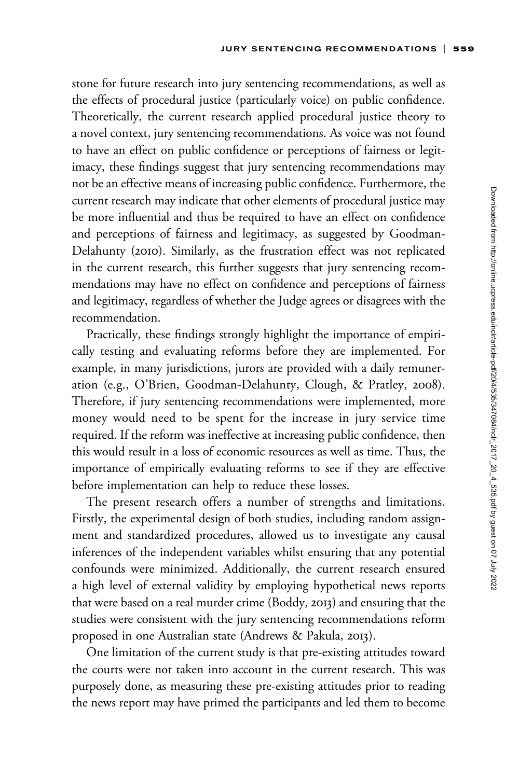stone for future research into jury sentencing recommendations, as well as the effects of procedural justice (particularly voice) on public confidence. Theoretically, the current research applied procedural justice theory to a novel context, jury sentencing recommendations. As voice was not found to have an effect on public confidence or perceptions of fairness or legitimacy, these findings suggest that jury sentencing recommendations may not be an effective means of increasing public confidence. Furthermore, the current research may indicate that other elements of procedural justice may be more influential and thus be required to have an effect on confidence and perceptions of fairness and legitimacy, as suggested by Goodman-Delahunty (2010). Similarly, as the frustration effect was not replicated in the current research, this further suggests that jury sentencing recommendations may have no effect on confidence and perceptions of fairness and legitimacy, regardless of whether the Judge agrees or disagrees with the recommendation.

Practically, these findings strongly highlight the importance of empirically testing and evaluating reforms before they are implemented. For example, in many jurisdictions, jurors are provided with a daily remuneration (e.g., O'Brien, Goodman-Delahunty, Clough, & Pratley, 2008). Therefore, if jury sentencing recommendations were implemented, more money would need to be spent for the increase in jury service time required. If the reform was ineffective at increasing public confidence, then this would result in a loss of economic resources as well as time. Thus, the importance of empirically evaluating reforms to see if they are effective before implementation can help to reduce these losses.

The present research offers a number of strengths and limitations. Firstly, the experimental design of both studies, including random assignment and standardized procedures, allowed us to investigate any causal inferences of the independent variables whilst ensuring that any potential confounds were minimized. Additionally, the current research ensured a high level of external validity by employing hypothetical news reports that were based on a real murder crime (Boddy, 2013) and ensuring that the studies were consistent with the jury sentencing recommendations reform proposed in one Australian state (Andrews & Pakula, 2013).

One limitation of the current study is that pre-existing attitudes toward the courts were not taken into account in the current research. This was purposely done, as measuring these pre-existing attitudes prior to reading the news report may have primed the participants and led them to become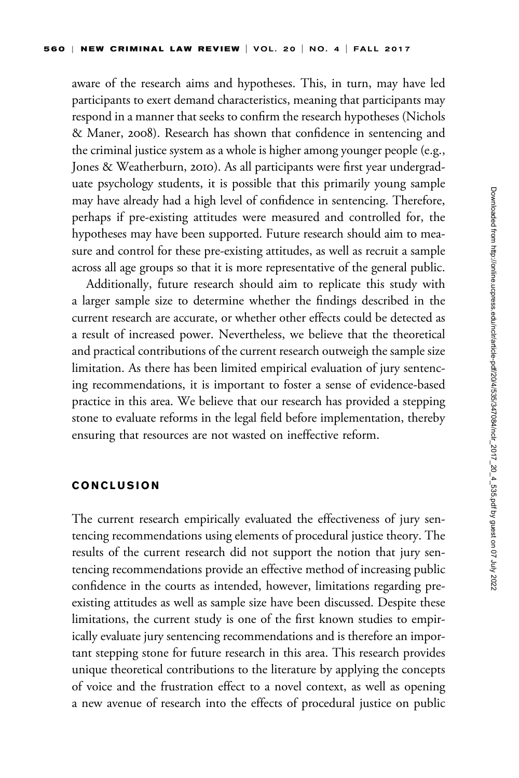aware of the research aims and hypotheses. This, in turn, may have led participants to exert demand characteristics, meaning that participants may respond in a manner that seeks to confirm the research hypotheses (Nichols & Maner, 2008). Research has shown that confidence in sentencing and the criminal justice system as a whole is higher among younger people (e.g., Jones & Weatherburn, 2010). As all participants were first year undergraduate psychology students, it is possible that this primarily young sample may have already had a high level of confidence in sentencing. Therefore, perhaps if pre-existing attitudes were measured and controlled for, the hypotheses may have been supported. Future research should aim to measure and control for these pre-existing attitudes, as well as recruit a sample across all age groups so that it is more representative of the general public.

Additionally, future research should aim to replicate this study with a larger sample size to determine whether the findings described in the current research are accurate, or whether other effects could be detected as a result of increased power. Nevertheless, we believe that the theoretical and practical contributions of the current research outweigh the sample size limitation. As there has been limited empirical evaluation of jury sentencing recommendations, it is important to foster a sense of evidence-based practice in this area. We believe that our research has provided a stepping stone to evaluate reforms in the legal field before implementation, thereby ensuring that resources are not wasted on ineffective reform.

### CONCLUSION

The current research empirically evaluated the effectiveness of jury sentencing recommendations using elements of procedural justice theory. The results of the current research did not support the notion that jury sentencing recommendations provide an effective method of increasing public confidence in the courts as intended, however, limitations regarding preexisting attitudes as well as sample size have been discussed. Despite these limitations, the current study is one of the first known studies to empirically evaluate jury sentencing recommendations and is therefore an important stepping stone for future research in this area. This research provides unique theoretical contributions to the literature by applying the concepts of voice and the frustration effect to a novel context, as well as opening a new avenue of research into the effects of procedural justice on public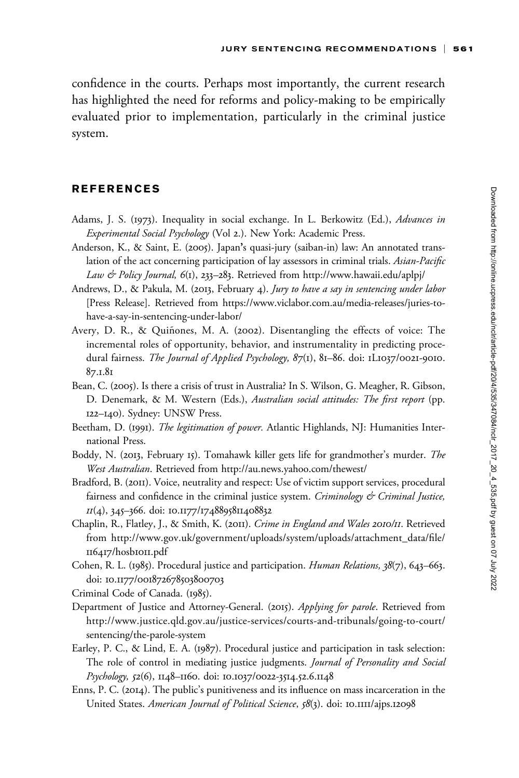confidence in the courts. Perhaps most importantly, the current research has highlighted the need for reforms and policy-making to be empirically evaluated prior to implementation, particularly in the criminal justice system.

#### REFERENCES

- Adams, J. S. (1973). Inequality in social exchange. In L. Berkowitz (Ed.), Advances in Experimental Social Psychology (Vol 2.). New York: Academic Press.
- Anderson, K., & Saint, E. (2005). Japan's quasi-jury (saiban-in) law: An annotated translation of the act concerning participation of lay assessors in criminal trials. Asian-Pacific Law & Policy Journal, 6(1), 233-283. Retrieved from<http://www.hawaii.edu/aplpj/>
- Andrews, D., & Pakula, M. (2013, February 4). Jury to have a say in sentencing under labor [Press Release]. Retrieved from [https://www.viclabor.com.au/media-releases/juries-to](https://www.viclabor.com.au/media-releases/juries-to-have-a-say-in-sentencing-under-labor/)[have-a-say-in-sentencing-under-labor/](https://www.viclabor.com.au/media-releases/juries-to-have-a-say-in-sentencing-under-labor/)
- Avery, D. R., & Quiñones, M. A. (2002). Disentangling the effects of voice: The incremental roles of opportunity, behavior, and instrumentality in predicting procedural fairness. The Journal of Applied Psychology, 87(1), 81–86. doi: 1L1037/0021-9010. 87.1.81
- Bean, C. (2005). Is there a crisis of trust in Australia? In S. Wilson, G. Meagher, R. Gibson, D. Denemark, & M. Western (Eds.), Australian social attitudes: The first report (pp. 122–140). Sydney: UNSW Press.
- Beetham, D. (1991). The legitimation of power. Atlantic Highlands, NJ: Humanities International Press.
- Boddy, N. (2013, February 15). Tomahawk killer gets life for grandmother's murder. The West Australian. Retrieved from<http://au.news.yahoo.com/thewest/>
- Bradford, B. (2011). Voice, neutrality and respect: Use of victim support services, procedural fairness and confidence in the criminal justice system. Criminology & Criminal Justice, 11(4), 345–366. doi: 10.1177/1748895811408832
- Chaplin, R., Flatley, J., & Smith, K. (2011). Crime in England and Wales 2010/11. Retrieved from [http://www.gov.uk/government/uploads/system/uploads/attachment\\_data/file/](http://www.gov.uk/government/uploads/system/uploads/attachment_data/file/116417/hosb1011.pdf) 116417[/hosb](http://www.gov.uk/government/uploads/system/uploads/attachment_data/file/116417/hosb1011.pdf)1011.pdf
- Cohen, R. L. (1985). Procedural justice and participation. Human Relations, 38(7), 643-663. doi: 10.1177/001872678503800703

Criminal Code of Canada. (1985).

- Department of Justice and Attorney-General. (2015). Applying for parole. Retrieved from [http://www.justice.qld.gov.au/justice-services/courts-and-tribunals/going-to-court/](http://www.justice.qld.gov.au/justice-services/courts-and-tribunals/going-to-court/sentencing/the-parole-system) [sentencing/the-parole-system](http://www.justice.qld.gov.au/justice-services/courts-and-tribunals/going-to-court/sentencing/the-parole-system)
- Earley, P. C., & Lind, E. A. (1987). Procedural justice and participation in task selection: The role of control in mediating justice judgments. Journal of Personality and Social Psychology, 52(6), 1148-1160. doi: 10.1037/0022-3514.52.6.1148
- Enns, P. C. (2014). The public's punitiveness and its influence on mass incarceration in the United States. American Journal of Political Science, 58(3). doi: 10.1111/ajps.12098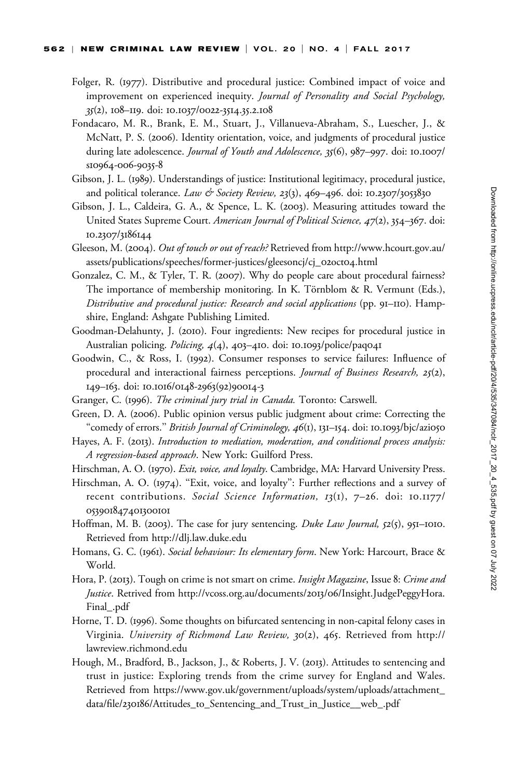- Folger, R. (1977). Distributive and procedural justice: Combined impact of voice and improvement on experienced inequity. Journal of Personality and Social Psychology, 35(2), 108–119. doi: 10.1037/0022-3514.35.2.108
- Fondacaro, M. R., Brank, E. M., Stuart, J., Villanueva-Abraham, S., Luescher, J., & McNatt, P. S. (2006). Identity orientation, voice, and judgments of procedural justice during late adolescence. Journal of Youth and Adolescence, 35(6), 987-997. doi: 10.1007/ s10964-006-9035-8
- Gibson, J. L. (1989). Understandings of justice: Institutional legitimacy, procedural justice, and political tolerance. Law & Society Review, 23(3), 469–496. doi: 10.2307/3053830
- Gibson, J. L., Caldeira, G. A., & Spence, L. K. (2003). Measuring attitudes toward the United States Supreme Court. American Journal of Political Science, 47(2), 354–367. doi: 10.2307/3186144
- Gleeson, M. (2004). Out of touch or out of reach? Retrieved from [http://www.hcourt.gov.au/](http://www.hcourt.gov.au/assets/publications/speeches/former-justices/gleesoncj/cj_02oct04.html) [assets/publications/speeches/former-justices/gleesoncj/cj\\_](http://www.hcourt.gov.au/assets/publications/speeches/former-justices/gleesoncj/cj_02oct04.html)02oct04.html
- Gonzalez, C. M., & Tyler, T. R. (2007). Why do people care about procedural fairness? The importance of membership monitoring. In K. Törnblom & R. Vermunt (Eds.), Distributive and procedural justice: Research and social applications (pp. 91–110). Hampshire, England: Ashgate Publishing Limited.
- Goodman-Delahunty, J. (2010). Four ingredients: New recipes for procedural justice in Australian policing. Policing, 4(4), 403-410. doi: 10.1093/police/paq041
- Goodwin, C., & Ross, I. (1992). Consumer responses to service failures: Influence of procedural and interactional fairness perceptions. Journal of Business Research, 25(2), 149–163. doi: 10.1016/0148-2963(92)90014-3
- Granger, C. (1996). The criminal jury trial in Canada. Toronto: Carswell.
- Green, D. A. (2006). Public opinion versus public judgment about crime: Correcting the ''comedy of errors.'' British Journal of Criminology, 46(1), 131–154. doi: 10.1093/bjc/azi050
- Hayes, A. F. (2013). Introduction to mediation, moderation, and conditional process analysis: A regression-based approach. New York: Guilford Press.
- Hirschman, A. O. (1970). Exit, voice, and loyalty. Cambridge, MA: Harvard University Press.
- Hirschman, A. O. (1974). "Exit, voice, and loyalty": Further reflections and a survey of recent contributions. Social Science Information,  $I_3(1)$ ,  $7-26$ . doi: 10.1177/ 053901847401300101
- Hoffman, M. B. (2003). The case for jury sentencing. Duke Law Journal, 52(5), 951-1010. Retrieved from<http://dlj.law.duke.edu>
- Homans, G. C. (1961). Social behaviour: Its elementary form. New York: Harcourt, Brace & World.
- Hora, P. (2013). Tough on crime is not smart on crime. Insight Magazine, Issue 8: Crime and Justice. Retrived from [http://vcoss.org.au/documents/](http://vcoss.org.au/documents/2013/06/Insight.JudgePeggyHora.Final_.pdf)2013/06/Insight.JudgePeggyHora. [Final\\_.pdf](http://vcoss.org.au/documents/2013/06/Insight.JudgePeggyHora.Final_.pdf)
- Horne, T. D. (1996). Some thoughts on bifurcated sentencing in non-capital felony cases in Virginia. University of Richmond Law Review, 30(2), 465. Retrieved from [http://](http://lawreview.richmond.edu) [lawreview.richmond.edu](http://lawreview.richmond.edu)
- Hough, M., Bradford, B., Jackson, J., & Roberts, J. V. (2013). Attitudes to sentencing and trust in justice: Exploring trends from the crime survey for England and Wales. Retrieved from [https://www.gov.uk/government/uploads/system/uploads/attachment\\_](https://www.gov.uk/government/uploads/system/uploads/attachment_data/file/230186/Attitudes_to_Sentencing_and_Trust_in_Justice__web_.pdf) data/file/230186[/Attitudes\\_to\\_Sentencing\\_and\\_Trust\\_in\\_Justice\\_\\_web\\_.pdf](https://www.gov.uk/government/uploads/system/uploads/attachment_data/file/230186/Attitudes_to_Sentencing_and_Trust_in_Justice__web_.pdf)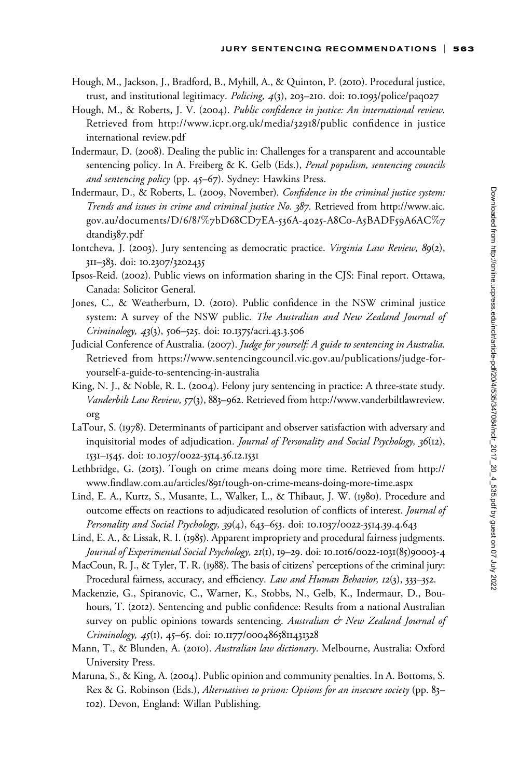- Hough, M., Jackson, J., Bradford, B., Myhill, A., & Quinton, P. (2010). Procedural justice, trust, and institutional legitimacy. *Policing*, 4(3), 203–210. doi: 10.1093/police/paq027
- Hough, M., & Roberts, J. V. (2004). Public confidence in justice: An international review. Retrieved from [http://www.icpr.org.uk/media/](http://www.icpr.org.uk/media/32918/public confidence in justice international review.pdf)32918/public confidence in justice [international review.pdf](http://www.icpr.org.uk/media/32918/public confidence in justice international review.pdf)
- Indermaur, D. (2008). Dealing the public in: Challenges for a transparent and accountable sentencing policy. In A. Freiberg & K. Gelb (Eds.), Penal populism, sentencing councils and sentencing policy (pp. 45–67). Sydney: Hawkins Press.
- Indermaur, D., & Roberts, L. (2009, November). Confidence in the criminal justice system: Trends and issues in crime and criminal justice No. 387. Retrieved from [http://www.aic.](http://www.aic.gov.au/documents/D/6/8/%7bD68CD7EA-536A-4025-A8C0-A5BADF59A6AC%7dtandi387.pdf) [gov.au/documents/D/](http://www.aic.gov.au/documents/D/6/8/%7bD68CD7EA-536A-4025-A8C0-A5BADF59A6AC%7dtandi387.pdf)6/8/%7bD68CD7EA-536A-4025-A8C0-A5[BADF](http://www.aic.gov.au/documents/D/6/8/%7bD68CD7EA-536A-4025-A8C0-A5BADF59A6AC%7dtandi387.pdf)59A6AC%[7](http://www.aic.gov.au/documents/D/6/8/%7bD68CD7EA-536A-4025-A8C0-A5BADF59A6AC%7dtandi387.pdf) [dtandi](http://www.aic.gov.au/documents/D/6/8/%7bD68CD7EA-536A-4025-A8C0-A5BADF59A6AC%7dtandi387.pdf)387.pdf
- Iontcheva, J. (2003). Jury sentencing as democratic practice. Virginia Law Review, 89(2), 311–383. doi: 10.2307/3202435
- Ipsos-Reid. (2002). Public views on information sharing in the CJS: Final report. Ottawa, Canada: Solicitor General.
- Jones, C., & Weatherburn, D. (2010). Public confidence in the NSW criminal justice system: A survey of the NSW public. The Australian and New Zealand Journal of Criminology, 43(3), 506–525. doi: 10.1375/acri.43.3.506
- Judicial Conference of Australia. (2007). Judge for yourself: A guide to sentencing in Australia. Retrieved from [https://www.sentencingcouncil.vic.gov.au/publications/judge-for](https://www.sentencingcouncil.vic.gov.au/publications/judge-for-yourself-a-guide-to-sentencing-in-australia)[yourself-a-guide-to-sentencing-in-australia](https://www.sentencingcouncil.vic.gov.au/publications/judge-for-yourself-a-guide-to-sentencing-in-australia)
- King, N. J., & Noble, R. L. (2004). Felony jury sentencing in practice: A three-state study. Vanderbilt Law Review, 57(3), 883–962. Retrieved from [http://www.vanderbiltlawreview.](http://www.vanderbiltlawreview.org) [org](http://www.vanderbiltlawreview.org)
- LaTour, S. (1978). Determinants of participant and observer satisfaction with adversary and inquisitorial modes of adjudication. Journal of Personality and Social Psychology, 36(12), 1531–1545. doi: 10.1037/0022-3514.36.12.1531
- Lethbridge, G. (2013). Tough on crime means doing more time. Retrieved from [http://](http://www.findlaw.com.au/articles/891/tough-on-crime-means-doing-more-time.aspx) www.findlaw.com.au/articles/891[/tough-on-crime-means-doing-more-time.aspx](http://www.findlaw.com.au/articles/891/tough-on-crime-means-doing-more-time.aspx)
- Lind, E. A., Kurtz, S., Musante, L., Walker, L., & Thibaut, J. W. (1980). Procedure and outcome effects on reactions to adjudicated resolution of conflicts of interest. Journal of Personality and Social Psychology, 39(4), 643-653. doi: 10.1037/0022-3514.39.4.643
- Lind, E. A., & Lissak, R. I. (1985). Apparent impropriety and procedural fairness judgments. Journal of Experimental Social Psychology, 21(1), 19–29. doi: 10.1016/0022-1031(85)90003-4
- MacCoun, R. J., & Tyler, T. R. (1988). The basis of citizens' perceptions of the criminal jury: Procedural fairness, accuracy, and efficiency. Law and Human Behavior, 12(3), 333-352.
- Mackenzie, G., Spiranovic, C., Warner, K., Stobbs, N., Gelb, K., Indermaur, D., Bouhours, T. (2012). Sentencing and public confidence: Results from a national Australian survey on public opinions towards sentencing. Australian & New Zealand Journal of Criminology, 45(1), 45-65. doi: 10.1177/0004865811431328
- Mann, T., & Blunden, A. (2010). Australian law dictionary. Melbourne, Australia: Oxford University Press.
- Maruna, S., & King, A. (2004). Public opinion and community penalties. In A. Bottoms, S. Rex & G. Robinson (Eds.), Alternatives to prison: Options for an insecure society (pp. 83-102). Devon, England: Willan Publishing.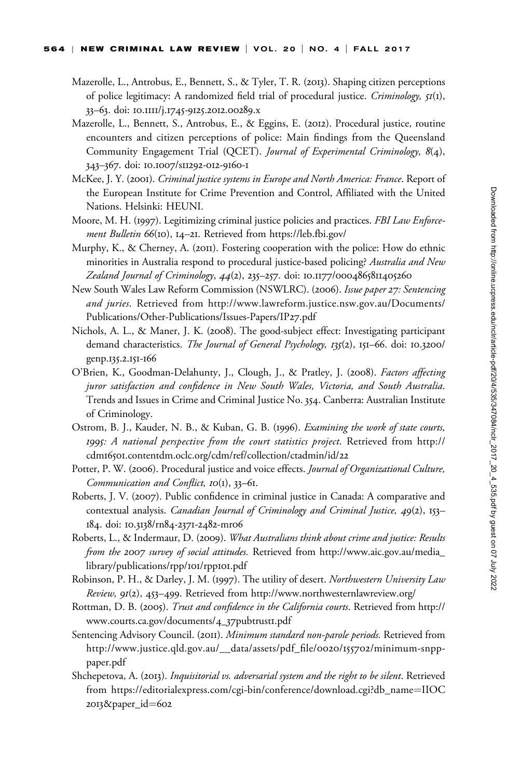- Mazerolle, L., Antrobus, E., Bennett, S., & Tyler, T. R. (2013). Shaping citizen perceptions of police legitimacy: A randomized field trial of procedural justice. Criminology,  $\mathfrak{z}I(1)$ , 33–63. doi: 10.1111/j.1745-9125.2012.00289.x
- Mazerolle, L., Bennett, S., Antrobus, E., & Eggins, E. (2012). Procedural justice, routine encounters and citizen perceptions of police: Main findings from the Queensland Community Engagement Trial (QCET). Journal of Experimental Criminology, 8(4), 343–367. doi: 10.1007/s11292-012-9160-1
- McKee, J. Y. (2001). Criminal justice systems in Europe and North America: France. Report of the European Institute for Crime Prevention and Control, Affiliated with the United Nations. Helsinki: HEUNI.
- Moore, M. H. (1997). Legitimizing criminal justice policies and practices. FBI Law Enforcement Bulletin 66(10), 14-21. Retrieved from<https://leb.fbi.gov/>
- Murphy, K., & Cherney, A. (2011). Fostering cooperation with the police: How do ethnic minorities in Australia respond to procedural justice-based policing? Australia and New Zealand Journal of Criminology, 44(2), 235–257. doi: 10.1177/0004865811405260
- New South Wales Law Reform Commission (NSWLRC). (2006). Issue paper 27: Sentencing and juries. Retrieved from [http://www.lawreform.justice.nsw.gov.au/Documents/](http://www.lawreform.justice.nsw.gov.au/Documents/Publications/Other-Publications/Issues-Papers/IP27.pdf) [Publications/Other-Publications/Issues-Papers/IP](http://www.lawreform.justice.nsw.gov.au/Documents/Publications/Other-Publications/Issues-Papers/IP27.pdf)27.pdf
- Nichols, A. L., & Maner, J. K. (2008). The good-subject effect: Investigating participant demand characteristics. The Journal of General Psychology, 135(2), 151–66. doi: 10.3200/ genp.135.2.151-166
- O'Brien, K., Goodman-Delahunty, J., Clough, J., & Pratley, J. (2008). Factors affecting juror satisfaction and confidence in New South Wales, Victoria, and South Australia. Trends and Issues in Crime and Criminal Justice No. 354. Canberra: Australian Institute of Criminology.
- Ostrom, B. J., Kauder, N. B., & Kuban, G. B. (1996). *Examining the work of state courts*, 1995: A national perspective from the court statistics project. Retrieved from [http://](http://cdm16501.contentdm.oclc.org/cdm/ref/collection/ctadmin/id/22) cdm16501[.contentdm.oclc.org/cdm/ref/collection/ctadmin/id/](http://cdm16501.contentdm.oclc.org/cdm/ref/collection/ctadmin/id/22)22
- Potter, P. W. (2006). Procedural justice and voice effects. Journal of Organizational Culture, Communication and Conflict,  $IO(I), 33-6I.$
- Roberts, J. V. (2007). Public confidence in criminal justice in Canada: A comparative and contextual analysis. Canadian Journal of Criminology and Criminal Justice, 49(2), 153-184. doi: 10.3138/rn84-2371-2482-mr06
- Roberts, L., & Indermaur, D. (2009). What Australians think about crime and justice: Results from the 2007 survey of social attitudes. Retrieved from [http://www.aic.gov.au/media\\_](http://www.aic.gov.au/media_library/publications/rpp/101/rpp101.pdf) [library/publications/rpp/](http://www.aic.gov.au/media_library/publications/rpp/101/rpp101.pdf)101/rpp101.pdf
- Robinson, P. H., & Darley, J. M. (1997). The utility of desert. Northwestern University Law Review, 91(2), 453–499. Retrieved from<http://www.northwesternlawreview.org/>
- Rottman, D. B. (2005). Trust and confidence in the California courts. Retrieved from [http://](http://www.courts.ca.gov/documents/4_37pubtrust1.pdf) [www.courts.ca.gov/documents/](http://www.courts.ca.gov/documents/4_37pubtrust1.pdf)4\_37pubtrust1.pdf
- Sentencing Advisory Council. (2011). Minimum standard non-parole periods. Retrieved from [http://www.justice.qld.gov.au/\\_\\_data/assets/pdf\\_file/](http://www.justice.qld.gov.au/__data/assets/pdf_file/0020/155702/minimum-snpp-paper.pdf)0020/155702/minimum-snpp[paper.pdf](http://www.justice.qld.gov.au/__data/assets/pdf_file/0020/155702/minimum-snpp-paper.pdf)
- Shchepetova, A. (2013). Inquisitorial vs. adversarial system and the right to be silent. Retrieved from [https://editorialexpress.com/cgi-bin/conference/download.cgi?db\\_name](https://editorialexpress.com/cgi-bin/conference/download.cgi?db_name=IIOC2013&paper_id=602)=[IIOC](https://editorialexpress.com/cgi-bin/conference/download.cgi?db_name=IIOC2013&paper_id=602) 2013[&paper\\_id](https://editorialexpress.com/cgi-bin/conference/download.cgi?db_name=IIOC2013&paper_id=602)=[602](https://editorialexpress.com/cgi-bin/conference/download.cgi?db_name=IIOC2013&paper_id=602)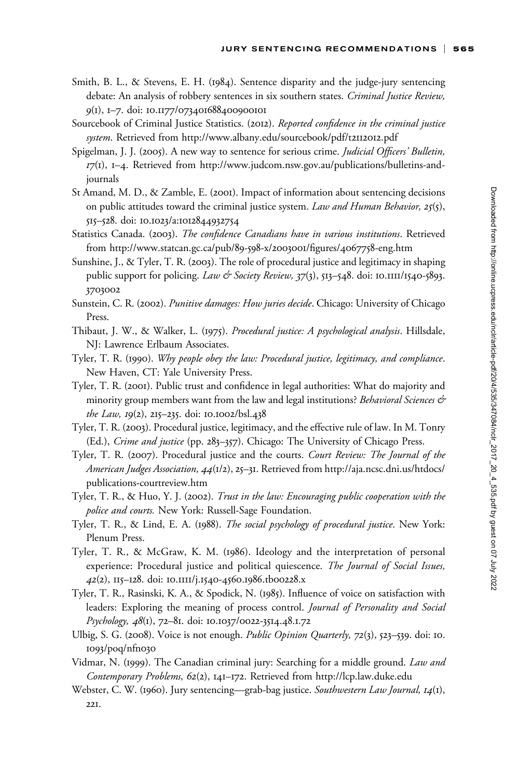- Smith, B. L., & Stevens, E. H. (1984). Sentence disparity and the judge-jury sentencing debate: An analysis of robbery sentences in six southern states. Criminal Justice Review, 9(1), 1–7. doi: 10.1177/073401688400900101
- Sourcebook of Criminal Justice Statistics. (2012). Reported confidence in the criminal justice system. Retrieved from [http://www.albany.edu/sourcebook/pdf/t](http://www.albany.edu/sourcebook/pdf/t2112012.pdf)2112012.pdf
- Spigelman, J. J. (2005). A new way to sentence for serious crime. *Judicial Officers' Bulletin*,  $17(i)$ , 1–4. Retrieved from [http://www.judcom.nsw.gov.au/publications/bulletins-and](http://www.judcom.nsw.gov.au/publications/bulletins-and-journals)[journals](http://www.judcom.nsw.gov.au/publications/bulletins-and-journals)
- St Amand, M. D., & Zamble, E. (2001). Impact of information about sentencing decisions on public attitudes toward the criminal justice system. Law and Human Behavior,  $25(5)$ , 515–528. doi: 10.1023/a:1012844932754
- Statistics Canada. (2003). The confidence Canadians have in various institutions. Retrieved from [http://www.statcan.gc.ca/pub/](http://www.statcan.gc.ca/pub/89-598-x/2003001/figures/4067758-eng.htm)89-598-x/2003001/figures/4067758-eng.htm
- Sunshine, J., & Tyler, T. R. (2003). The role of procedural justice and legitimacy in shaping public support for policing. Law & Society Review, 37(3), 513–548. doi: 10.1111/1540-5893. 3703002
- Sunstein, C. R. (2002). Punitive damages: How juries decide. Chicago: University of Chicago Press.
- Thibaut, J. W., & Walker, L. (1975). Procedural justice: A psychological analysis. Hillsdale, NJ: Lawrence Erlbaum Associates.
- Tyler, T. R. (1990). Why people obey the law: Procedural justice, legitimacy, and compliance. New Haven, CT: Yale University Press.
- Tyler, T. R. (2001). Public trust and confidence in legal authorities: What do majority and minority group members want from the law and legal institutions? Behavioral Sciences & the Law, 19(2), 215–235. doi: 10.1002/bsl.438
- Tyler, T. R. (2003). Procedural justice, legitimacy, and the effective rule of law. In M. Tonry (Ed.), Crime and justice (pp. 283-357). Chicago: The University of Chicago Press.
- Tyler, T. R. (2007). Procedural justice and the courts. Court Review: The Journal of the American Judges Association, 44(1/2), 25-31. Retrieved from [http://aja.ncsc.dni.us/htdocs/](http://aja.ncsc.dni.us/htdocs/publications-courtreview.htm) [publications-courtreview.htm](http://aja.ncsc.dni.us/htdocs/publications-courtreview.htm)
- Tyler, T. R., & Huo, Y. J. (2002). Trust in the law: Encouraging public cooperation with the police and courts. New York: Russell-Sage Foundation.
- Tyler, T. R., & Lind, E. A. (1988). The social psychology of procedural justice. New York: Plenum Press.
- Tyler, T. R., & McGraw, K. M. (1986). Ideology and the interpretation of personal experience: Procedural justice and political quiescence. The Journal of Social Issues, 42(2), 115–128. doi: 10.1111/j.1540-4560.1986.tb00228.x
- Tyler, T. R., Rasinski, K. A., & Spodick, N. (1985). Influence of voice on satisfaction with leaders: Exploring the meaning of process control. Journal of Personality and Social Psychology, 48(1), 72–81. doi: 10.1037/0022-3514.48.1.72
- Ulbig, S. G. (2008). Voice is not enough. *Public Opinion Quarterly, 72*(3), 523–539. doi: 10. 1093/poq/nfn030
- Vidmar, N. (1999). The Canadian criminal jury: Searching for a middle ground. Law and Contemporary Problems, 62(2), 141–172. Retrieved from<http://lcp.law.duke.edu>
- Webster, C. W. (1960). Jury sentencing—grab-bag justice. Southwestern Law Journal, 14(1), 221.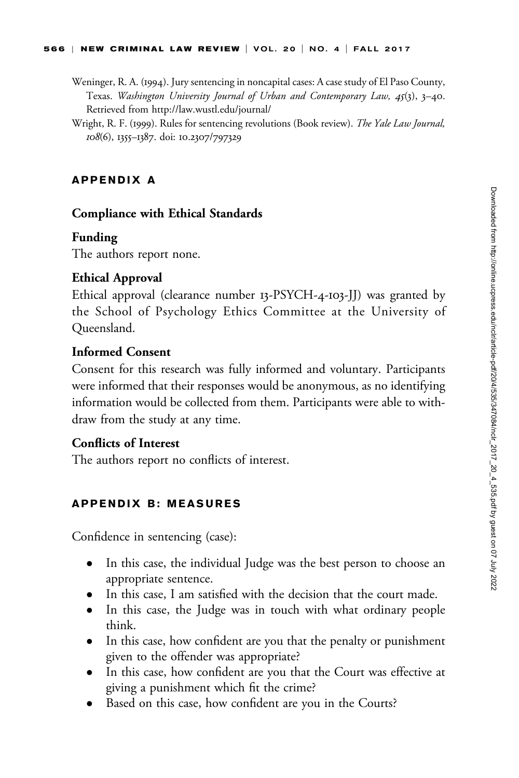- Weninger, R. A. (1994). Jury sentencing in noncapital cases: A case study of El Paso County, Texas. Washington University Journal of Urban and Contemporary Law, 45(3), 3–40. Retrieved from<http://law.wustl.edu/journal/>
- Wright, R. F. (1999). Rules for sentencing revolutions (Book review). The Yale Law Journal, 108(6), 1355–1387. doi: 10.2307/797329

### APPENDIX A

### Compliance with Ethical Standards

### Funding

The authors report none.

### Ethical Approval

Ethical approval (clearance number 13-PSYCH-4-103-JJ) was granted by the School of Psychology Ethics Committee at the University of Queensland.

## Informed Consent

Consent for this research was fully informed and voluntary. Participants were informed that their responses would be anonymous, as no identifying information would be collected from them. Participants were able to withdraw from the study at any time.

## Conflicts of Interest

The authors report no conflicts of interest.

## APPENDIX B: MEASURES

Confidence in sentencing (case):

- In this case, the individual Judge was the best person to choose an appropriate sentence.
- In this case, I am satisfied with the decision that the court made.
- In this case, the Judge was in touch with what ordinary people think.
- In this case, how confident are you that the penalty or punishment given to the offender was appropriate?
- In this case, how confident are you that the Court was effective at giving a punishment which fit the crime?
- Based on this case, how confident are you in the Courts?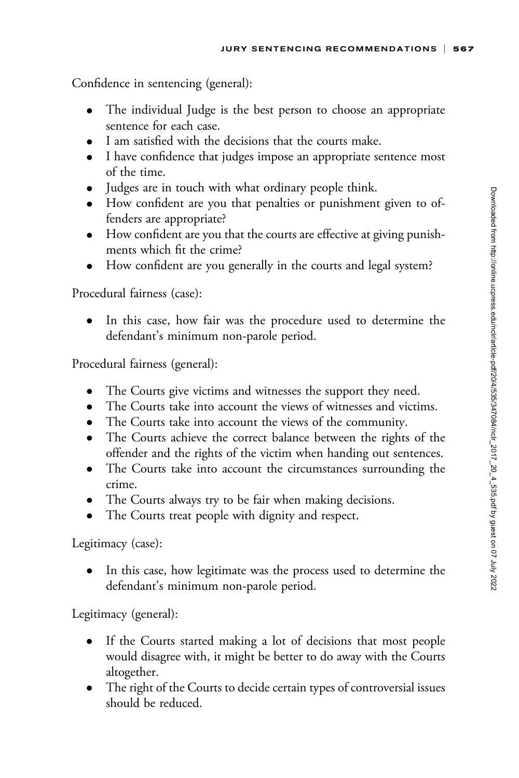Confidence in sentencing (general):

- The individual Judge is the best person to choose an appropriate sentence for each case.
- I am satisfied with the decisions that the courts make.
- I have confidence that judges impose an appropriate sentence most of the time.
- Judges are in touch with what ordinary people think.
- How confident are you that penalties or punishment given to offenders are appropriate?
- How confident are you that the courts are effective at giving punishments which fit the crime?
- How confident are you generally in the courts and legal system?

Procedural fairness (case):

 In this case, how fair was the procedure used to determine the defendant's minimum non-parole period.

Procedural fairness (general):

- The Courts give victims and witnesses the support they need.
- The Courts take into account the views of witnesses and victims.
- The Courts take into account the views of the community.
- The Courts achieve the correct balance between the rights of the offender and the rights of the victim when handing out sentences.
- The Courts take into account the circumstances surrounding the crime.
- The Courts always try to be fair when making decisions.
- The Courts treat people with dignity and respect.

Legitimacy (case):

 In this case, how legitimate was the process used to determine the defendant's minimum non-parole period.

Legitimacy (general):

- If the Courts started making a lot of decisions that most people would disagree with, it might be better to do away with the Courts altogether.
- The right of the Courts to decide certain types of controversial issues should be reduced.